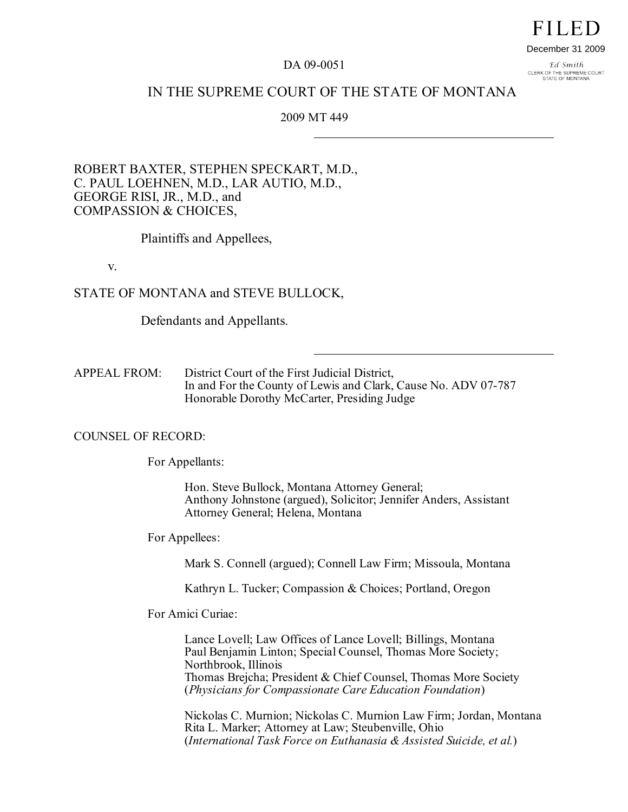DA 09-0051

# FILED December 31 2009

Ed Smith CLERK OF THE SUPREME COURT<br>STATE OF MONTANA

# IN THE SUPREME COURT OF THE STATE OF MONTANA

2009 MT 449

ROBERT BAXTER, STEPHEN SPECKART, M.D., C. PAUL LOEHNEN, M.D., LAR AUTIO, M.D., GEORGE RISI, JR., M.D., and COMPASSION & CHOICES,

Plaintiffs and Appellees,

v.

STATE OF MONTANA and STEVE BULLOCK,

Defendants and Appellants.

APPEAL FROM: District Court of the First Judicial District, In and For the County of Lewis and Clark, Cause No. ADV 07-787 Honorable Dorothy McCarter, Presiding Judge

#### COUNSEL OF RECORD:

For Appellants:

Hon. Steve Bullock, Montana Attorney General; Anthony Johnstone (argued), Solicitor; Jennifer Anders, Assistant Attorney General; Helena, Montana

For Appellees:

Mark S. Connell (argued); Connell Law Firm; Missoula, Montana

Kathryn L. Tucker; Compassion & Choices; Portland, Oregon

For Amici Curiae:

Lance Lovell; Law Offices of Lance Lovell; Billings, Montana Paul Benjamin Linton; Special Counsel, Thomas More Society; Northbrook, Illinois Thomas Brejcha; President & Chief Counsel, Thomas More Society (*Physicians for Compassionate Care Education Foundation*)

Nickolas C. Murnion; Nickolas C. Murnion Law Firm; Jordan, Montana Rita L. Marker; Attorney at Law; Steubenville, Ohio (*International Task Force on Euthanasia & Assisted Suicide, et al.*)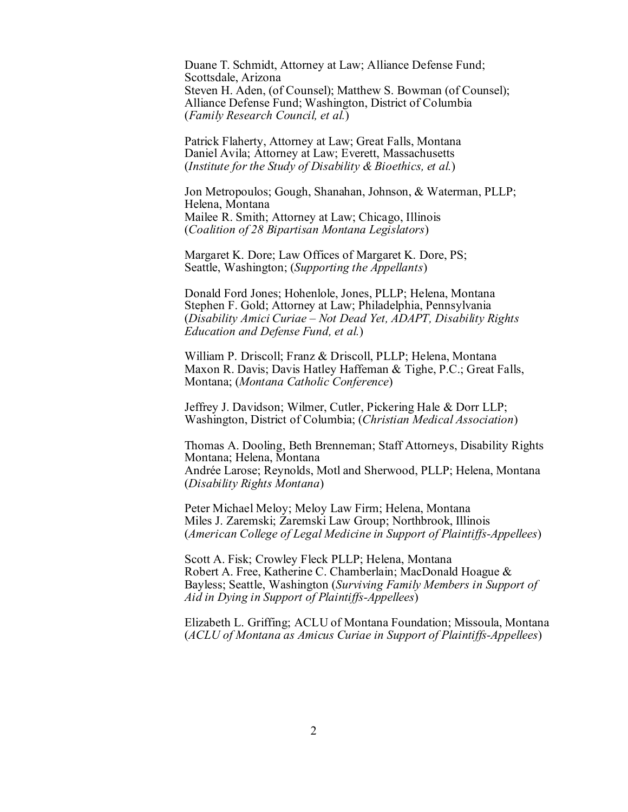Duane T. Schmidt, Attorney at Law; Alliance Defense Fund; Scottsdale, Arizona Steven H. Aden, (of Counsel); Matthew S. Bowman (of Counsel); Alliance Defense Fund; Washington, District of Columbia (*Family Research Council, et al.*)

Patrick Flaherty, Attorney at Law; Great Falls, Montana Daniel Avila; Attorney at Law; Everett, Massachusetts (*Institute for the Study of Disability & Bioethics, et al.*)

Jon Metropoulos; Gough, Shanahan, Johnson, & Waterman, PLLP; Helena, Montana Mailee R. Smith; Attorney at Law; Chicago, Illinois (*Coalition of 28 Bipartisan Montana Legislators*)

Margaret K. Dore; Law Offices of Margaret K. Dore, PS; Seattle, Washington; (*Supporting the Appellants*)

Donald Ford Jones; Hohenlole, Jones, PLLP; Helena, Montana Stephen F. Gold; Attorney at Law; Philadelphia, Pennsylvania (*Disability Amici Curiae – Not Dead Yet, ADAPT, Disability Rights Education and Defense Fund, et al.*)

William P. Driscoll; Franz & Driscoll, PLLP; Helena, Montana Maxon R. Davis; Davis Hatley Haffeman & Tighe, P.C.; Great Falls, Montana; (*Montana Catholic Conference*)

Jeffrey J. Davidson; Wilmer, Cutler, Pickering Hale & Dorr LLP; Washington, District of Columbia; (*Christian Medical Association*)

Thomas A. Dooling, Beth Brenneman; Staff Attorneys, Disability Rights Montana; Helena, Montana Andrée Larose; Reynolds, Motl and Sherwood, PLLP; Helena, Montana (*Disability Rights Montana*)

Peter Michael Meloy; Meloy Law Firm; Helena, Montana Miles J. Zaremski; Zaremski Law Group; Northbrook, Illinois (*American College of Legal Medicine in Support of Plaintiffs-Appellees*)

Scott A. Fisk; Crowley Fleck PLLP; Helena, Montana Robert A. Free, Katherine C. Chamberlain; MacDonald Hoague & Bayless; Seattle, Washington (*Surviving Family Members in Support of Aid in Dying in Support of Plaintiffs-Appellees*)

Elizabeth L. Griffing; ACLU of Montana Foundation; Missoula, Montana (*ACLU of Montana as Amicus Curiae in Support of Plaintiffs-Appellees*)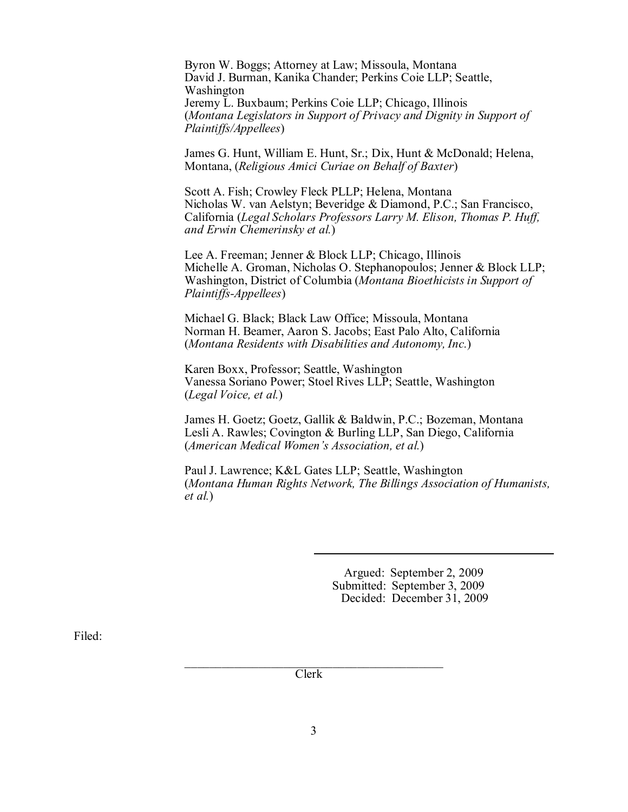Byron W. Boggs; Attorney at Law; Missoula, Montana David J. Burman, Kanika Chander; Perkins Coie LLP; Seattle, Washington Jeremy L. Buxbaum; Perkins Coie LLP; Chicago, Illinois (*Montana Legislators in Support of Privacy and Dignity in Support of Plaintiffs/Appellees*)

James G. Hunt, William E. Hunt, Sr.; Dix, Hunt & McDonald; Helena, Montana, (*Religious Amici Curiae on Behalf of Baxter*)

Scott A. Fish; Crowley Fleck PLLP; Helena, Montana Nicholas W. van Aelstyn; Beveridge & Diamond, P.C.; San Francisco, California (*Legal Scholars Professors Larry M. Elison, Thomas P. Huff, and Erwin Chemerinsky et al.*)

Lee A. Freeman; Jenner & Block LLP; Chicago, Illinois Michelle A. Groman, Nicholas O. Stephanopoulos; Jenner & Block LLP; Washington, District of Columbia (*Montana Bioethicists in Support of Plaintiffs-Appellees*)

Michael G. Black; Black Law Office; Missoula, Montana Norman H. Beamer, Aaron S. Jacobs; East Palo Alto, California (*Montana Residents with Disabilities and Autonomy, Inc.*)

Karen Boxx, Professor; Seattle, Washington Vanessa Soriano Power; Stoel Rives LLP; Seattle, Washington (*Legal Voice, et al.*)

James H. Goetz; Goetz, Gallik & Baldwin, P.C.; Bozeman, Montana Lesli A. Rawles; Covington & Burling LLP, San Diego, California (*American Medical Women's Association, et al.*)

Paul J. Lawrence; K&L Gates LLP; Seattle, Washington (*Montana Human Rights Network, The Billings Association of Humanists, et al.*)

> Argued: September 2, 2009 Submitted: September 3, 2009 Decided: December 31, 2009

Filed:

 $\mathcal{L}_\mathcal{L}$  , where  $\mathcal{L}_\mathcal{L}$  is the set of the set of the set of the set of the set of the set of the set of the set of the set of the set of the set of the set of the set of the set of the set of the set of the Clerk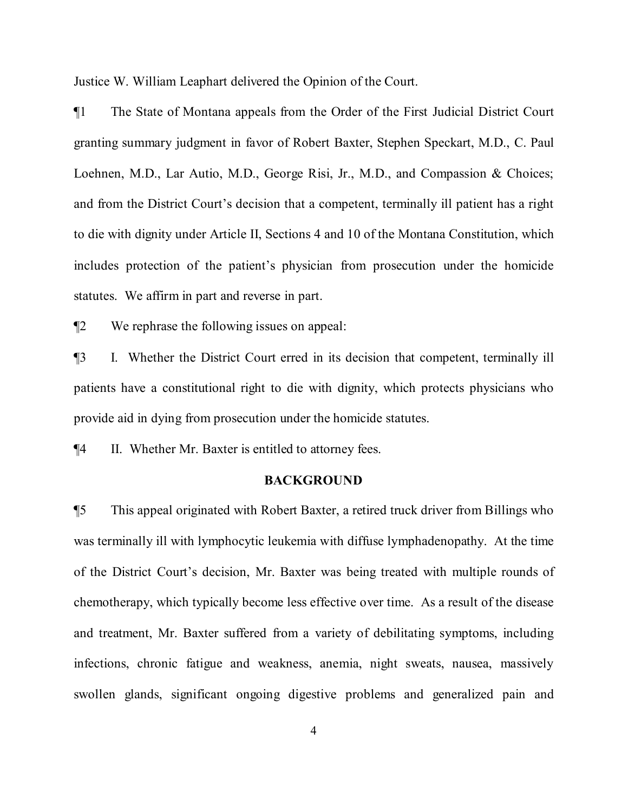Justice W. William Leaphart delivered the Opinion of the Court.

¶1 The State of Montana appeals from the Order of the First Judicial District Court granting summary judgment in favor of Robert Baxter, Stephen Speckart, M.D., C. Paul Loehnen, M.D., Lar Autio, M.D., George Risi, Jr., M.D., and Compassion & Choices; and from the District Court's decision that a competent, terminally ill patient has a right to die with dignity under Article II, Sections 4 and 10 of the Montana Constitution, which includes protection of the patient's physician from prosecution under the homicide statutes. We affirm in part and reverse in part.

¶2 We rephrase the following issues on appeal:

¶3 I. Whether the District Court erred in its decision that competent, terminally ill patients have a constitutional right to die with dignity, which protects physicians who provide aid in dying from prosecution under the homicide statutes.

¶4 II. Whether Mr. Baxter is entitled to attorney fees.

## **BACKGROUND**

¶5 This appeal originated with Robert Baxter, a retired truck driver from Billings who was terminally ill with lymphocytic leukemia with diffuse lymphadenopathy. At the time of the District Court's decision, Mr. Baxter was being treated with multiple rounds of chemotherapy, which typically become less effective over time. As a result of the disease and treatment, Mr. Baxter suffered from a variety of debilitating symptoms, including infections, chronic fatigue and weakness, anemia, night sweats, nausea, massively swollen glands, significant ongoing digestive problems and generalized pain and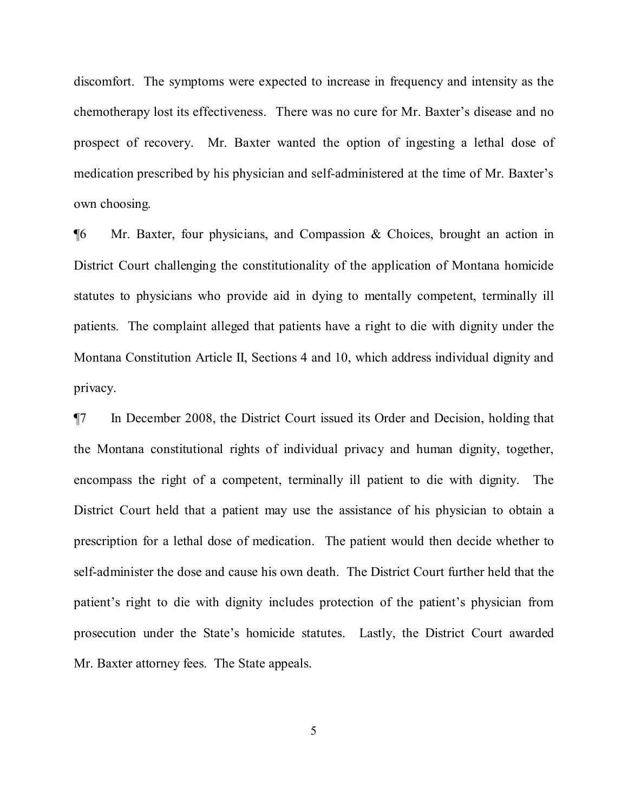discomfort. The symptoms were expected to increase in frequency and intensity as the chemotherapy lost its effectiveness. There was no cure for Mr. Baxter's disease and no prospect of recovery. Mr. Baxter wanted the option of ingesting a lethal dose of medication prescribed by his physician and self-administered at the time of Mr. Baxter's own choosing.

¶6 Mr. Baxter, four physicians, and Compassion & Choices, brought an action in District Court challenging the constitutionality of the application of Montana homicide statutes to physicians who provide aid in dying to mentally competent, terminally ill patients. The complaint alleged that patients have a right to die with dignity under the Montana Constitution Article II, Sections 4 and 10, which address individual dignity and privacy.

¶7 In December 2008, the District Court issued its Order and Decision, holding that the Montana constitutional rights of individual privacy and human dignity, together, encompass the right of a competent, terminally ill patient to die with dignity. The District Court held that a patient may use the assistance of his physician to obtain a prescription for a lethal dose of medication. The patient would then decide whether to self-administer the dose and cause his own death. The District Court further held that the patient's right to die with dignity includes protection of the patient's physician from prosecution under the State's homicide statutes. Lastly, the District Court awarded Mr. Baxter attorney fees. The State appeals.

5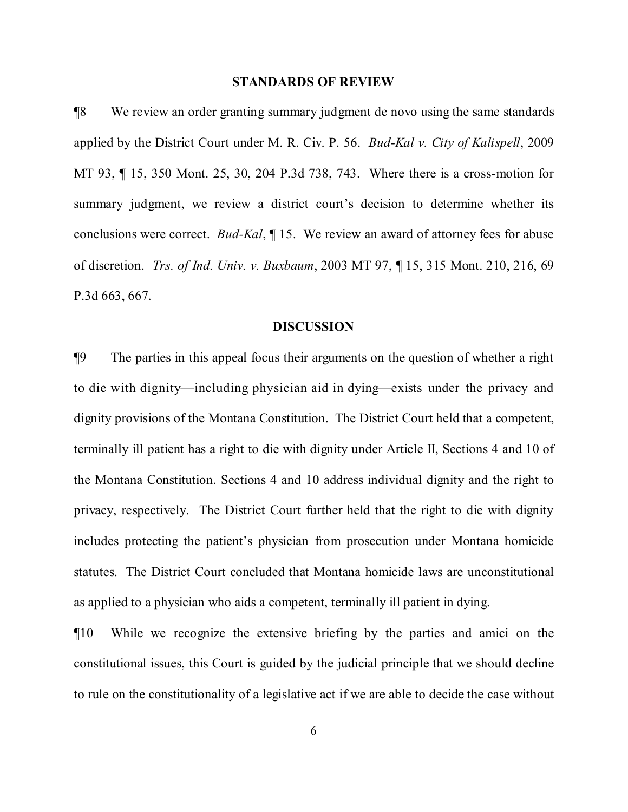#### **STANDARDS OF REVIEW**

¶8 We review an order granting summary judgment de novo using the same standards applied by the District Court under M. R. Civ. P. 56. *Bud-Kal v. City of Kalispell*, 2009 MT 93, ¶ 15, 350 Mont. 25, 30, 204 P.3d 738, 743. Where there is a cross-motion for summary judgment, we review a district court's decision to determine whether its conclusions were correct. *Bud-Kal*, ¶ 15. We review an award of attorney fees for abuse of discretion. *Trs. of Ind. Univ. v. Buxbaum*, 2003 MT 97, ¶ 15, 315 Mont. 210, 216, 69 P.3d 663, 667.

#### **DISCUSSION**

¶9 The parties in this appeal focus their arguments on the question of whether a right to die with dignity—including physician aid in dying—exists under the privacy and dignity provisions of the Montana Constitution. The District Court held that a competent, terminally ill patient has a right to die with dignity under Article II, Sections 4 and 10 of the Montana Constitution. Sections 4 and 10 address individual dignity and the right to privacy, respectively. The District Court further held that the right to die with dignity includes protecting the patient's physician from prosecution under Montana homicide statutes. The District Court concluded that Montana homicide laws are unconstitutional as applied to a physician who aids a competent, terminally ill patient in dying.

¶10 While we recognize the extensive briefing by the parties and amici on the constitutional issues, this Court is guided by the judicial principle that we should decline to rule on the constitutionality of a legislative act if we are able to decide the case without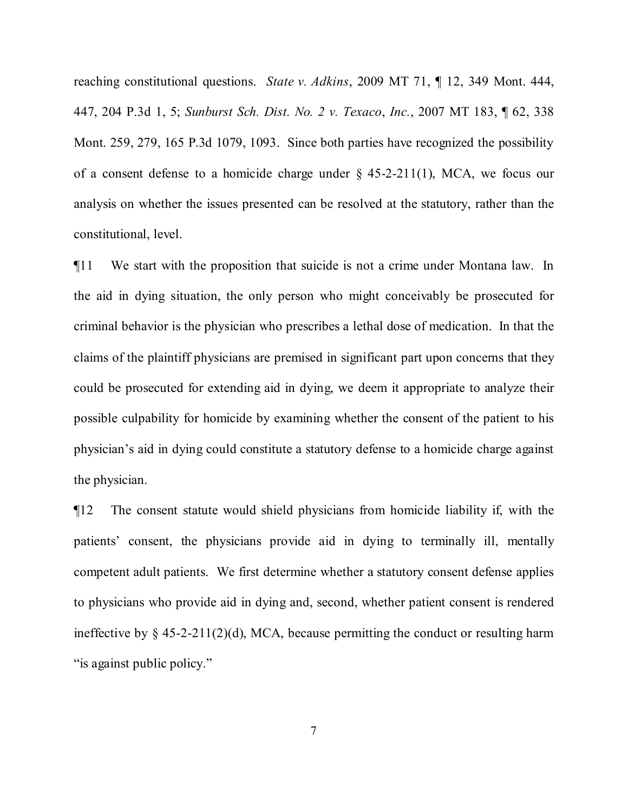reaching constitutional questions. *State v. Adkins*, 2009 MT 71, ¶ 12, 349 Mont. 444, 447, 204 P.3d 1, 5; *Sunburst Sch. Dist. No. 2 v. Texaco*, *Inc.*, 2007 MT 183, ¶ 62, 338 Mont. 259, 279, 165 P.3d 1079, 1093. Since both parties have recognized the possibility of a consent defense to a homicide charge under  $\S$  45-2-211(1), MCA, we focus our analysis on whether the issues presented can be resolved at the statutory, rather than the constitutional, level.

¶11 We start with the proposition that suicide is not a crime under Montana law. In the aid in dying situation, the only person who might conceivably be prosecuted for criminal behavior is the physician who prescribes a lethal dose of medication. In that the claims of the plaintiff physicians are premised in significant part upon concerns that they could be prosecuted for extending aid in dying, we deem it appropriate to analyze their possible culpability for homicide by examining whether the consent of the patient to his physician's aid in dying could constitute a statutory defense to a homicide charge against the physician.

¶12 The consent statute would shield physicians from homicide liability if, with the patients' consent, the physicians provide aid in dying to terminally ill, mentally competent adult patients. We first determine whether a statutory consent defense applies to physicians who provide aid in dying and, second, whether patient consent is rendered ineffective by  $\S$  45-2-211(2)(d), MCA, because permitting the conduct or resulting harm "is against public policy."

7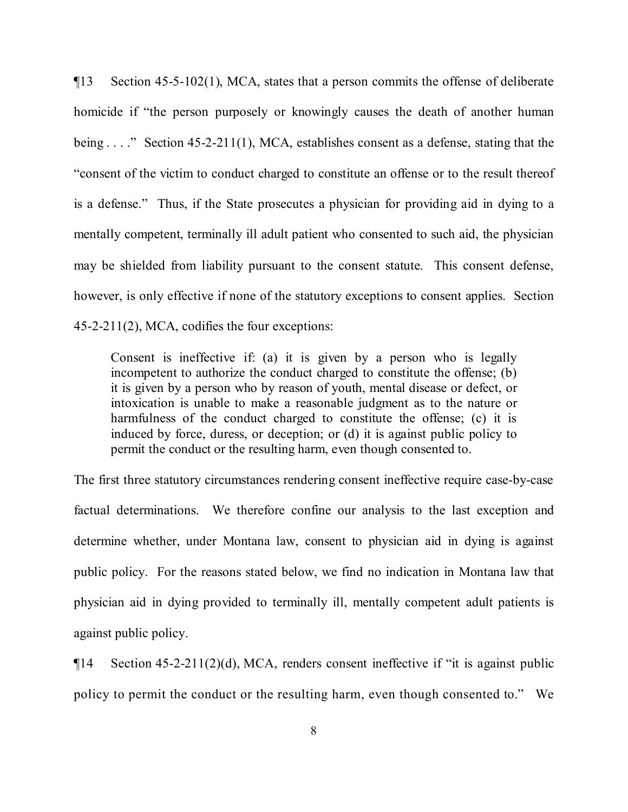¶13 Section 45-5-102(1), MCA, states that a person commits the offense of deliberate homicide if "the person purposely or knowingly causes the death of another human being . . . ." Section 45-2-211(1), MCA, establishes consent as a defense, stating that the "consent of the victim to conduct charged to constitute an offense or to the result thereof is a defense." Thus, if the State prosecutes a physician for providing aid in dying to a mentally competent, terminally ill adult patient who consented to such aid, the physician may be shielded from liability pursuant to the consent statute. This consent defense, however, is only effective if none of the statutory exceptions to consent applies. Section 45-2-211(2), MCA, codifies the four exceptions:

Consent is ineffective if: (a) it is given by a person who is legally incompetent to authorize the conduct charged to constitute the offense; (b) it is given by a person who by reason of youth, mental disease or defect, or intoxication is unable to make a reasonable judgment as to the nature or harmfulness of the conduct charged to constitute the offense; (c) it is induced by force, duress, or deception; or (d) it is against public policy to permit the conduct or the resulting harm, even though consented to.

The first three statutory circumstances rendering consent ineffective require case-by-case factual determinations. We therefore confine our analysis to the last exception and determine whether, under Montana law, consent to physician aid in dying is against public policy. For the reasons stated below, we find no indication in Montana law that physician aid in dying provided to terminally ill, mentally competent adult patients is against public policy.

 $\P$ 14 Section 45-2-211(2)(d), MCA, renders consent ineffective if "it is against public policy to permit the conduct or the resulting harm, even though consented to." We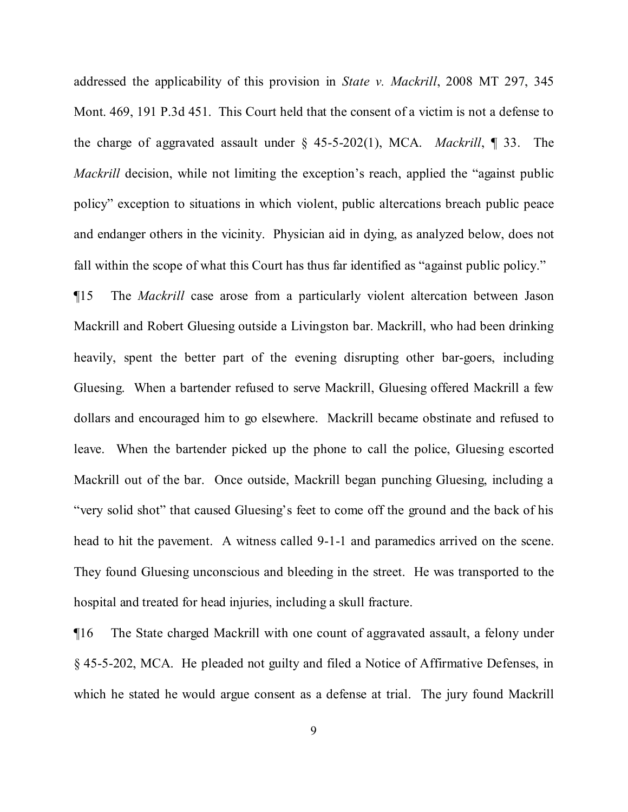addressed the applicability of this provision in *State v. Mackrill*, 2008 MT 297, 345 Mont. 469, 191 P.3d 451. This Court held that the consent of a victim is not a defense to the charge of aggravated assault under § 45-5-202(1), MCA. *Mackrill*, ¶ 33. The *Mackrill* decision, while not limiting the exception's reach, applied the "against public policy" exception to situations in which violent, public altercations breach public peace and endanger others in the vicinity. Physician aid in dying, as analyzed below, does not fall within the scope of what this Court has thus far identified as "against public policy."

¶15 The *Mackrill* case arose from a particularly violent altercation between Jason Mackrill and Robert Gluesing outside a Livingston bar. Mackrill, who had been drinking heavily, spent the better part of the evening disrupting other bar-goers, including Gluesing. When a bartender refused to serve Mackrill, Gluesing offered Mackrill a few dollars and encouraged him to go elsewhere. Mackrill became obstinate and refused to leave. When the bartender picked up the phone to call the police, Gluesing escorted Mackrill out of the bar. Once outside, Mackrill began punching Gluesing, including a "very solid shot" that caused Gluesing's feet to come off the ground and the back of his head to hit the pavement. A witness called 9-1-1 and paramedics arrived on the scene. They found Gluesing unconscious and bleeding in the street. He was transported to the hospital and treated for head injuries, including a skull fracture.

¶16 The State charged Mackrill with one count of aggravated assault, a felony under § 45-5-202, MCA. He pleaded not guilty and filed a Notice of Affirmative Defenses, in which he stated he would argue consent as a defense at trial. The jury found Mackrill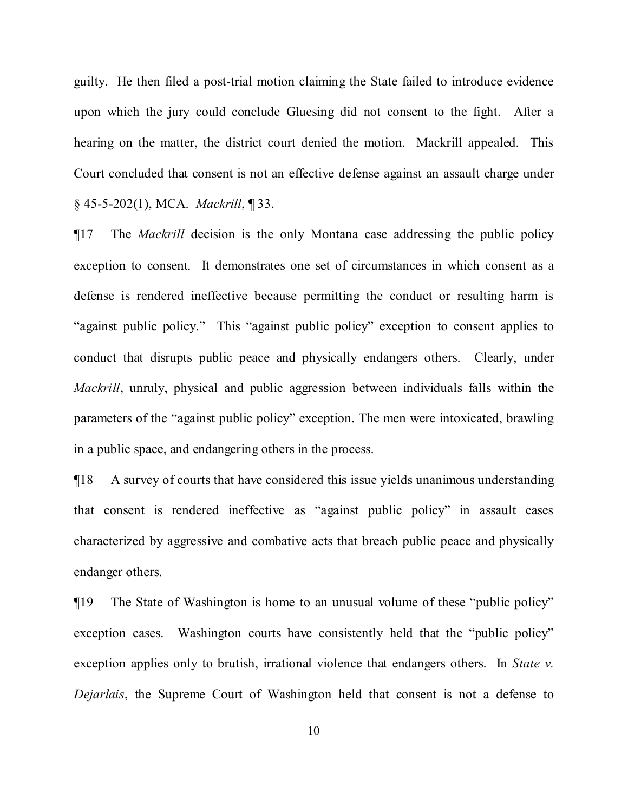guilty. He then filed a post-trial motion claiming the State failed to introduce evidence upon which the jury could conclude Gluesing did not consent to the fight. After a hearing on the matter, the district court denied the motion. Mackrill appealed. This Court concluded that consent is not an effective defense against an assault charge under § 45-5-202(1), MCA. *Mackrill*, ¶ 33.

¶17 The *Mackrill* decision is the only Montana case addressing the public policy exception to consent. It demonstrates one set of circumstances in which consent as a defense is rendered ineffective because permitting the conduct or resulting harm is "against public policy." This "against public policy" exception to consent applies to conduct that disrupts public peace and physically endangers others. Clearly, under *Mackrill*, unruly, physical and public aggression between individuals falls within the parameters of the "against public policy" exception. The men were intoxicated, brawling in a public space, and endangering others in the process.

¶18 A survey of courts that have considered this issue yields unanimous understanding that consent is rendered ineffective as "against public policy" in assault cases characterized by aggressive and combative acts that breach public peace and physically endanger others.

¶19 The State of Washington is home to an unusual volume of these "public policy" exception cases. Washington courts have consistently held that the "public policy" exception applies only to brutish, irrational violence that endangers others. In *State v. Dejarlais*, the Supreme Court of Washington held that consent is not a defense to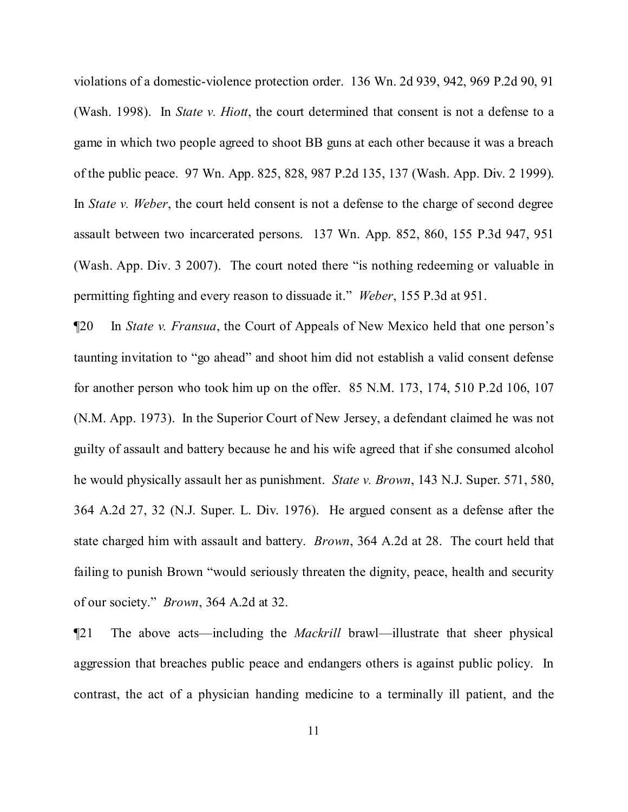violations of a domestic-violence protection order. 136 Wn. 2d 939, 942, 969 P.2d 90, 91 (Wash. 1998). In *State v. Hiott*, the court determined that consent is not a defense to a game in which two people agreed to shoot BB guns at each other because it was a breach of the public peace. 97 Wn. App. 825, 828, 987 P.2d 135, 137 (Wash. App. Div. 2 1999). In *State v. Weber*, the court held consent is not a defense to the charge of second degree assault between two incarcerated persons. 137 Wn. App. 852, 860, 155 P.3d 947, 951 (Wash. App. Div. 3 2007). The court noted there "is nothing redeeming or valuable in permitting fighting and every reason to dissuade it." *Weber*, 155 P.3d at 951.

¶20 In *State v. Fransua*, the Court of Appeals of New Mexico held that one person's taunting invitation to "go ahead" and shoot him did not establish a valid consent defense for another person who took him up on the offer. 85 N.M. 173, 174, 510 P.2d 106, 107 (N.M. App. 1973). In the Superior Court of New Jersey, a defendant claimed he was not guilty of assault and battery because he and his wife agreed that if she consumed alcohol he would physically assault her as punishment. *State v. Brown*, 143 N.J. Super. 571, 580, 364 A.2d 27, 32 (N.J. Super. L. Div. 1976). He argued consent as a defense after the state charged him with assault and battery. *Brown*, 364 A.2d at 28. The court held that failing to punish Brown "would seriously threaten the dignity, peace, health and security of our society." *Brown*, 364 A.2d at 32.

¶21 The above acts—including the *Mackrill* brawl—illustrate that sheer physical aggression that breaches public peace and endangers others is against public policy. In contrast, the act of a physician handing medicine to a terminally ill patient, and the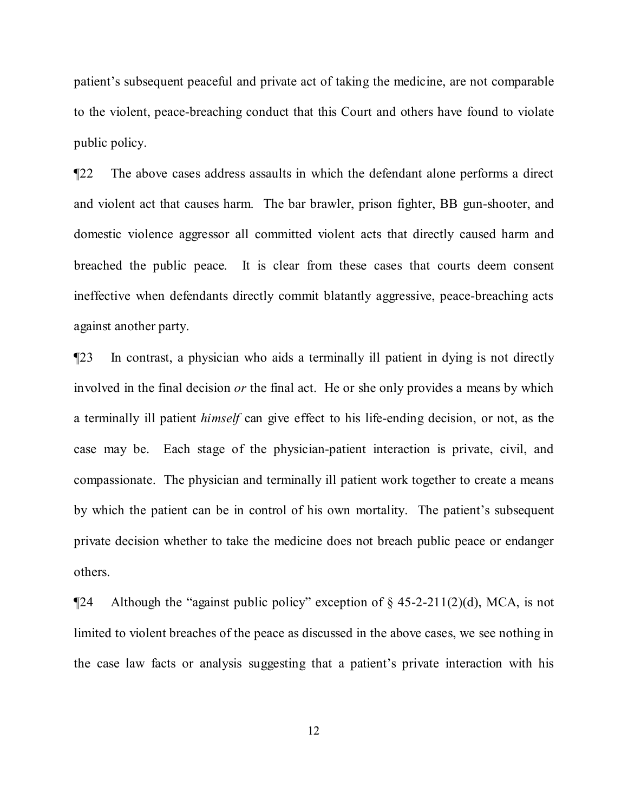patient's subsequent peaceful and private act of taking the medicine, are not comparable to the violent, peace-breaching conduct that this Court and others have found to violate public policy.

¶22 The above cases address assaults in which the defendant alone performs a direct and violent act that causes harm. The bar brawler, prison fighter, BB gun-shooter, and domestic violence aggressor all committed violent acts that directly caused harm and breached the public peace. It is clear from these cases that courts deem consent ineffective when defendants directly commit blatantly aggressive, peace-breaching acts against another party.

¶23 In contrast, a physician who aids a terminally ill patient in dying is not directly involved in the final decision *or* the final act. He or she only provides a means by which a terminally ill patient *himself* can give effect to his life-ending decision, or not, as the case may be. Each stage of the physician-patient interaction is private, civil, and compassionate. The physician and terminally ill patient work together to create a means by which the patient can be in control of his own mortality. The patient's subsequent private decision whether to take the medicine does not breach public peace or endanger others.

 $\P$ 24 Although the "against public policy" exception of § 45-2-211(2)(d), MCA, is not limited to violent breaches of the peace as discussed in the above cases, we see nothing in the case law facts or analysis suggesting that a patient's private interaction with his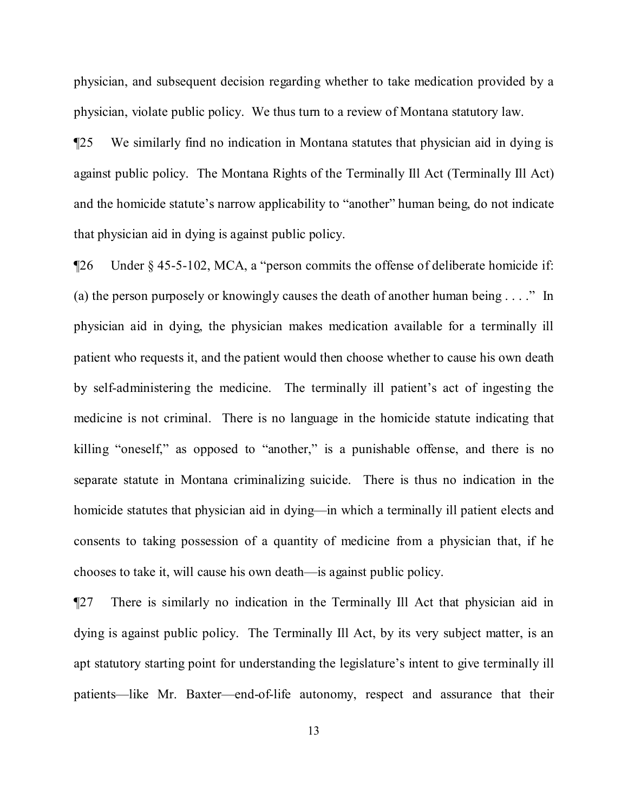physician, and subsequent decision regarding whether to take medication provided by a physician, violate public policy. We thus turn to a review of Montana statutory law.

¶25 We similarly find no indication in Montana statutes that physician aid in dying is against public policy. The Montana Rights of the Terminally Ill Act (Terminally Ill Act) and the homicide statute's narrow applicability to "another" human being, do not indicate that physician aid in dying is against public policy.

¶26 Under § 45-5-102, MCA, a "person commits the offense of deliberate homicide if: (a) the person purposely or knowingly causes the death of another human being  $\dots$ ." In physician aid in dying, the physician makes medication available for a terminally ill patient who requests it, and the patient would then choose whether to cause his own death by self-administering the medicine. The terminally ill patient's act of ingesting the medicine is not criminal. There is no language in the homicide statute indicating that killing "oneself," as opposed to "another," is a punishable offense, and there is no separate statute in Montana criminalizing suicide. There is thus no indication in the homicide statutes that physician aid in dying—in which a terminally ill patient elects and consents to taking possession of a quantity of medicine from a physician that, if he chooses to take it, will cause his own death—is against public policy.

¶27 There is similarly no indication in the Terminally Ill Act that physician aid in dying is against public policy. The Terminally Ill Act, by its very subject matter, is an apt statutory starting point for understanding the legislature's intent to give terminally ill patients—like Mr. Baxter—end-of-life autonomy, respect and assurance that their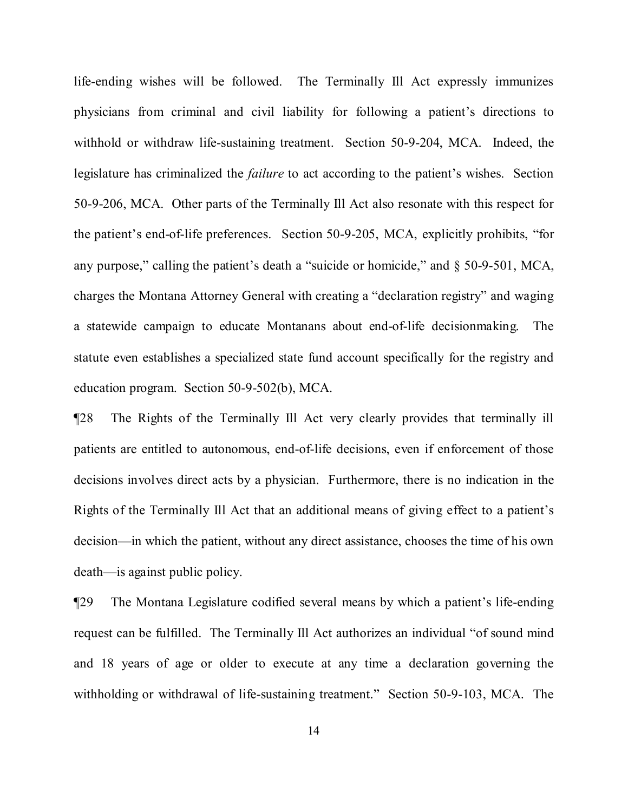life-ending wishes will be followed. The Terminally Ill Act expressly immunizes physicians from criminal and civil liability for following a patient's directions to withhold or withdraw life-sustaining treatment. Section 50-9-204, MCA. Indeed, the legislature has criminalized the *failure* to act according to the patient's wishes. Section 50-9-206, MCA. Other parts of the Terminally Ill Act also resonate with this respect for the patient's end-of-life preferences. Section 50-9-205, MCA, explicitly prohibits, "for any purpose," calling the patient's death a "suicide or homicide," and § 50-9-501, MCA, charges the Montana Attorney General with creating a "declaration registry" and waging a statewide campaign to educate Montanans about end-of-life decisionmaking. The statute even establishes a specialized state fund account specifically for the registry and education program. Section 50-9-502(b), MCA.

¶28 The Rights of the Terminally Ill Act very clearly provides that terminally ill patients are entitled to autonomous, end-of-life decisions, even if enforcement of those decisions involves direct acts by a physician. Furthermore, there is no indication in the Rights of the Terminally Ill Act that an additional means of giving effect to a patient's decision—in which the patient, without any direct assistance, chooses the time of his own death—is against public policy.

¶29 The Montana Legislature codified several means by which a patient's life-ending request can be fulfilled. The Terminally Ill Act authorizes an individual "of sound mind and 18 years of age or older to execute at any time a declaration governing the withholding or withdrawal of life-sustaining treatment." Section 50-9-103, MCA. The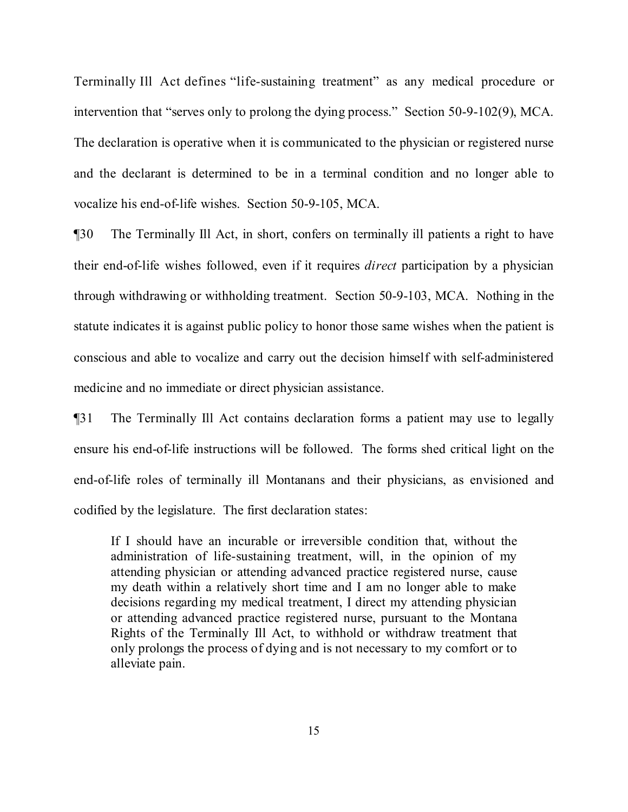Terminally Ill Act defines "life-sustaining treatment" as any medical procedure or intervention that "serves only to prolong the dying process." Section 50-9-102(9), MCA. The declaration is operative when it is communicated to the physician or registered nurse and the declarant is determined to be in a terminal condition and no longer able to vocalize his end-of-life wishes. Section 50-9-105, MCA.

¶30 The Terminally Ill Act, in short, confers on terminally ill patients a right to have their end-of-life wishes followed, even if it requires *direct* participation by a physician through withdrawing or withholding treatment. Section 50-9-103, MCA. Nothing in the statute indicates it is against public policy to honor those same wishes when the patient is conscious and able to vocalize and carry out the decision himself with self-administered medicine and no immediate or direct physician assistance.

¶31 The Terminally Ill Act contains declaration forms a patient may use to legally ensure his end-of-life instructions will be followed. The forms shed critical light on the end-of-life roles of terminally ill Montanans and their physicians, as envisioned and codified by the legislature. The first declaration states:

If I should have an incurable or irreversible condition that, without the administration of life-sustaining treatment, will, in the opinion of my attending physician or attending advanced practice registered nurse, cause my death within a relatively short time and I am no longer able to make decisions regarding my medical treatment, I direct my attending physician or attending advanced practice registered nurse, pursuant to the Montana Rights of the Terminally Ill Act, to withhold or withdraw treatment that only prolongs the process of dying and is not necessary to my comfort or to alleviate pain.

15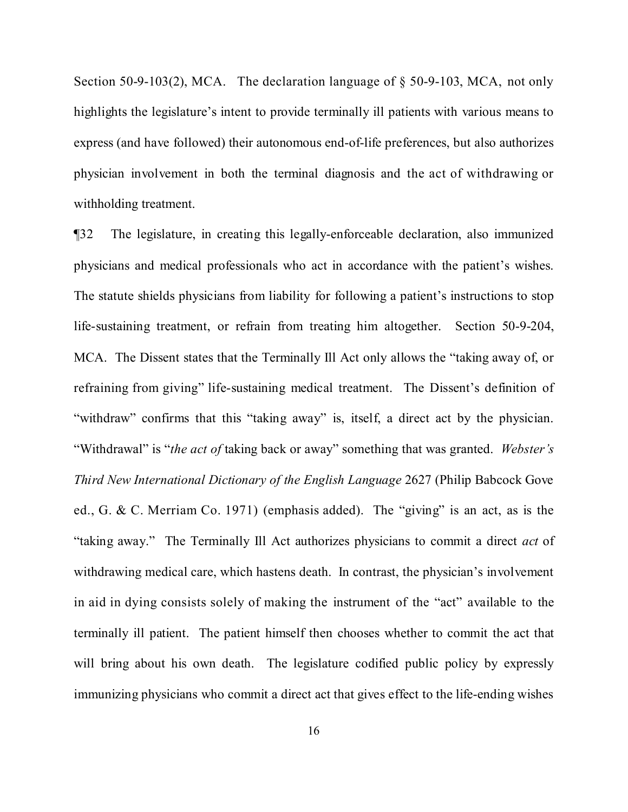Section 50-9-103(2), MCA. The declaration language of  $\S$  50-9-103, MCA, not only highlights the legislature's intent to provide terminally ill patients with various means to express (and have followed) their autonomous end-of-life preferences, but also authorizes physician involvement in both the terminal diagnosis and the act of withdrawing or withholding treatment.

¶32 The legislature, in creating this legally-enforceable declaration, also immunized physicians and medical professionals who act in accordance with the patient's wishes. The statute shields physicians from liability for following a patient's instructions to stop life-sustaining treatment, or refrain from treating him altogether. Section 50-9-204, MCA. The Dissent states that the Terminally Ill Act only allows the "taking away of, or refraining from giving" life-sustaining medical treatment. The Dissent's definition of "withdraw" confirms that this "taking away" is, itself, a direct act by the physician. "Withdrawal" is "*the act of* taking back or away" something that was granted. *Webster's Third New International Dictionary of the English Language* 2627 (Philip Babcock Gove ed., G. & C. Merriam Co. 1971) (emphasis added). The "giving" is an act, as is the "taking away." The Terminally Ill Act authorizes physicians to commit a direct *act* of withdrawing medical care, which hastens death. In contrast, the physician's involvement in aid in dying consists solely of making the instrument of the "act" available to the terminally ill patient. The patient himself then chooses whether to commit the act that will bring about his own death. The legislature codified public policy by expressly immunizing physicians who commit a direct act that gives effect to the life-ending wishes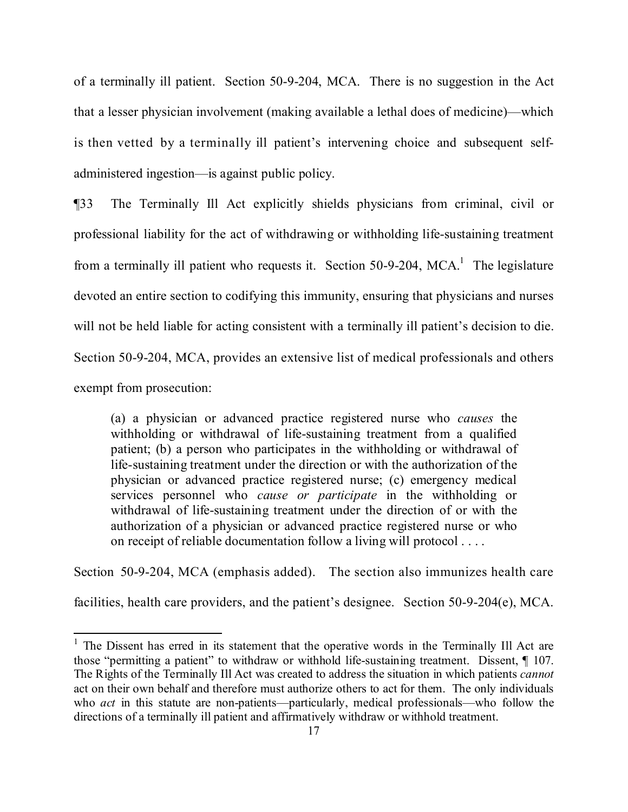of a terminally ill patient. Section 50-9-204, MCA. There is no suggestion in the Act that a lesser physician involvement (making available a lethal does of medicine)—which is then vetted by a terminally ill patient's intervening choice and subsequent selfadministered ingestion—is against public policy.

¶33 The Terminally Ill Act explicitly shields physicians from criminal, civil or professional liability for the act of withdrawing or withholding life-sustaining treatment from a terminally ill patient who requests it. Section 50-9-204, MCA.<sup>[1](#page-16-0)</sup> The legislature devoted an entire section to codifying this immunity, ensuring that physicians and nurses will not be held liable for acting consistent with a terminally ill patient's decision to die. Section 50-9-204, MCA, provides an extensive list of medical professionals and others exempt from prosecution:

(a) a physician or advanced practice registered nurse who *causes* the withholding or withdrawal of life-sustaining treatment from a qualified patient; (b) a person who participates in the withholding or withdrawal of life-sustaining treatment under the direction or with the authorization of the physician or advanced practice registered nurse; (c) emergency medical services personnel who *cause or participate* in the withholding or withdrawal of life-sustaining treatment under the direction of or with the authorization of a physician or advanced practice registered nurse or who on receipt of reliable documentation follow a living will protocol . . . .

Section 50-9-204, MCA (emphasis added). The section also immunizes health care facilities, health care providers, and the patient's designee. Section 50-9-204(e), MCA.

<span id="page-16-0"></span> $1$  The Dissent has erred in its statement that the operative words in the Terminally III Act are those "permitting a patient" to withdraw or withhold life-sustaining treatment. Dissent, ¶ 107. The Rights of the Terminally Ill Act was created to address the situation in which patients *cannot* act on their own behalf and therefore must authorize others to act for them. The only individuals who *act* in this statute are non-patients—particularly, medical professionals—who follow the directions of a terminally ill patient and affirmatively withdraw or withhold treatment.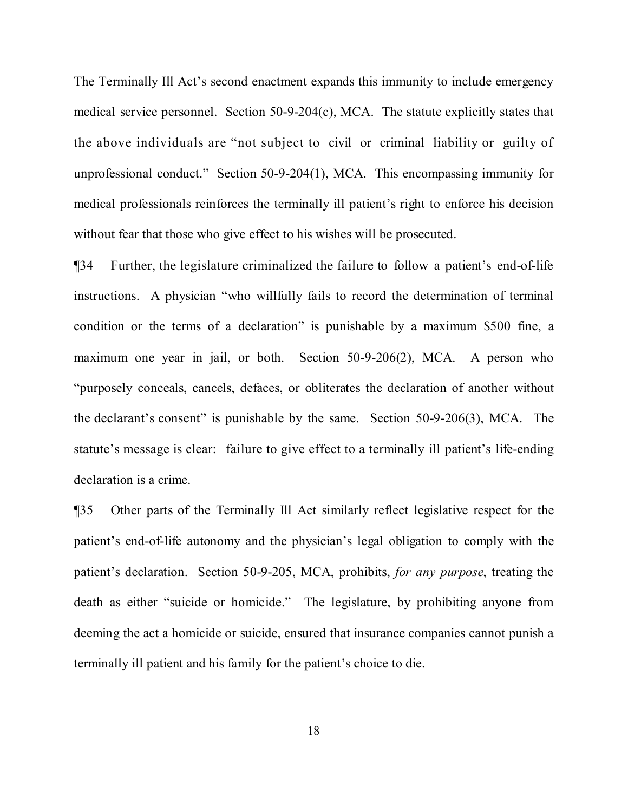The Terminally Ill Act's second enactment expands this immunity to include emergency medical service personnel. Section 50-9-204(c), MCA. The statute explicitly states that the above individuals are "not subject to civil or criminal liability or guilty of unprofessional conduct." Section 50-9-204(1), MCA. This encompassing immunity for medical professionals reinforces the terminally ill patient's right to enforce his decision without fear that those who give effect to his wishes will be prosecuted.

¶34 Further, the legislature criminalized the failure to follow a patient's end-of-life instructions. A physician "who willfully fails to record the determination of terminal condition or the terms of a declaration" is punishable by a maximum \$500 fine, a maximum one year in jail, or both. Section 50-9-206(2), MCA. A person who "purposely conceals, cancels, defaces, or obliterates the declaration of another without the declarant's consent" is punishable by the same. Section 50-9-206(3), MCA. The statute's message is clear: failure to give effect to a terminally ill patient's life-ending declaration is a crime.

¶35 Other parts of the Terminally Ill Act similarly reflect legislative respect for the patient's end-of-life autonomy and the physician's legal obligation to comply with the patient's declaration. Section 50-9-205, MCA, prohibits, *for any purpose*, treating the death as either "suicide or homicide." The legislature, by prohibiting anyone from deeming the act a homicide or suicide, ensured that insurance companies cannot punish a terminally ill patient and his family for the patient's choice to die.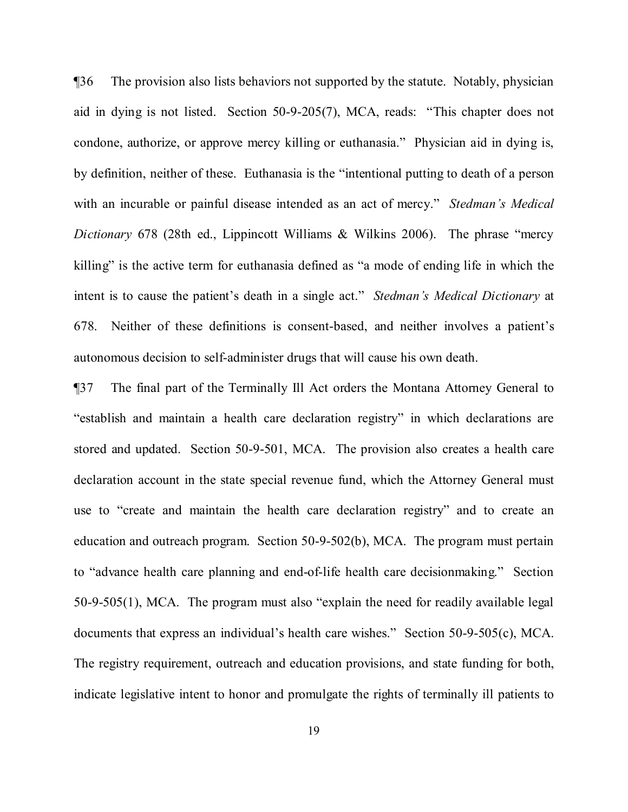¶36 The provision also lists behaviors not supported by the statute. Notably, physician aid in dying is not listed. Section 50-9-205(7), MCA, reads: "This chapter does not condone, authorize, or approve mercy killing or euthanasia." Physician aid in dying is, by definition, neither of these. Euthanasia is the "intentional putting to death of a person with an incurable or painful disease intended as an act of mercy." *Stedman's Medical Dictionary* 678 (28th ed., Lippincott Williams & Wilkins 2006). The phrase "mercy killing" is the active term for euthanasia defined as "a mode of ending life in which the intent is to cause the patient's death in a single act." *Stedman's Medical Dictionary* at 678. Neither of these definitions is consent-based, and neither involves a patient's autonomous decision to self-administer drugs that will cause his own death.

¶37 The final part of the Terminally Ill Act orders the Montana Attorney General to "establish and maintain a health care declaration registry" in which declarations are stored and updated. Section 50-9-501, MCA. The provision also creates a health care declaration account in the state special revenue fund, which the Attorney General must use to "create and maintain the health care declaration registry" and to create an education and outreach program. Section 50-9-502(b), MCA. The program must pertain to "advance health care planning and end-of-life health care decisionmaking." Section 50-9-505(1), MCA. The program must also "explain the need for readily available legal documents that express an individual's health care wishes." Section 50-9-505(c), MCA. The registry requirement, outreach and education provisions, and state funding for both, indicate legislative intent to honor and promulgate the rights of terminally ill patients to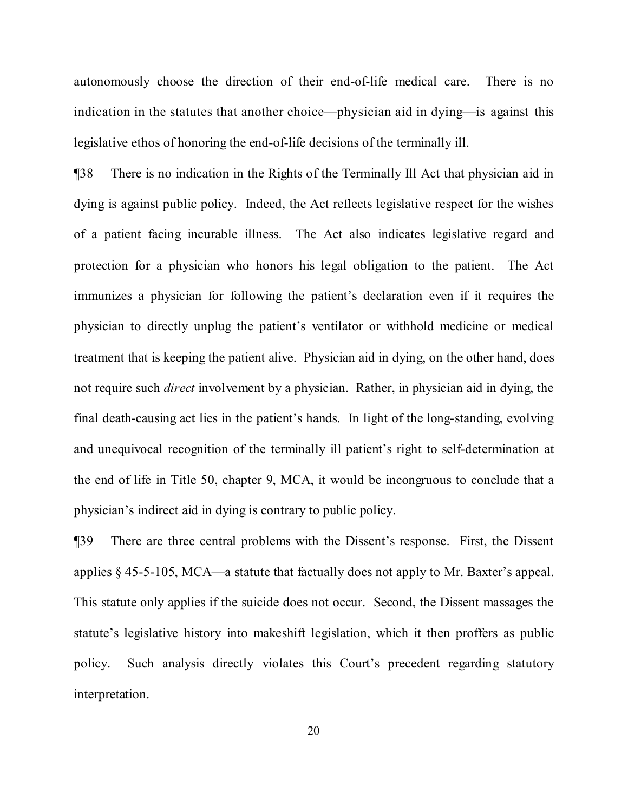autonomously choose the direction of their end-of-life medical care. There is no indication in the statutes that another choice—physician aid in dying—is against this legislative ethos of honoring the end-of-life decisions of the terminally ill.

¶38 There is no indication in the Rights of the Terminally Ill Act that physician aid in dying is against public policy. Indeed, the Act reflects legislative respect for the wishes of a patient facing incurable illness. The Act also indicates legislative regard and protection for a physician who honors his legal obligation to the patient. The Act immunizes a physician for following the patient's declaration even if it requires the physician to directly unplug the patient's ventilator or withhold medicine or medical treatment that is keeping the patient alive. Physician aid in dying, on the other hand, does not require such *direct* involvement by a physician. Rather, in physician aid in dying, the final death-causing act lies in the patient's hands. In light of the long-standing, evolving and unequivocal recognition of the terminally ill patient's right to self-determination at the end of life in Title 50, chapter 9, MCA, it would be incongruous to conclude that a physician's indirect aid in dying is contrary to public policy.

¶39 There are three central problems with the Dissent's response. First, the Dissent applies § 45-5-105, MCA—a statute that factually does not apply to Mr. Baxter's appeal. This statute only applies if the suicide does not occur. Second, the Dissent massages the statute's legislative history into makeshift legislation, which it then proffers as public policy. Such analysis directly violates this Court's precedent regarding statutory interpretation.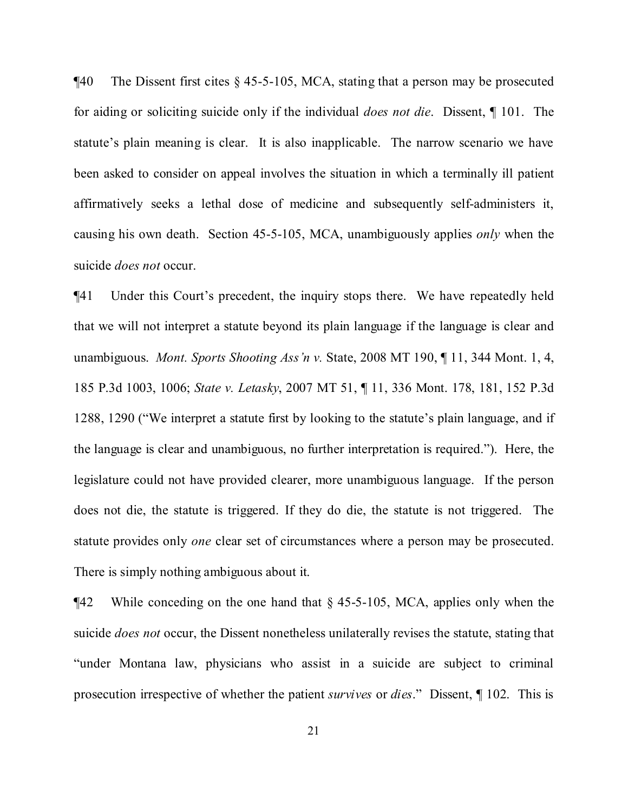¶40 The Dissent first cites § 45-5-105, MCA, stating that a person may be prosecuted for aiding or soliciting suicide only if the individual *does not die*. Dissent, ¶ 101. The statute's plain meaning is clear. It is also inapplicable. The narrow scenario we have been asked to consider on appeal involves the situation in which a terminally ill patient affirmatively seeks a lethal dose of medicine and subsequently self-administers it, causing his own death. Section 45-5-105, MCA, unambiguously applies *only* when the suicide *does not* occur.

¶41 Under this Court's precedent, the inquiry stops there. We have repeatedly held that we will not interpret a statute beyond its plain language if the language is clear and unambiguous. *Mont. Sports Shooting Ass'n v.* State, 2008 MT 190, ¶ 11, 344 Mont. 1, 4, 185 P.3d 1003, 1006; *State v. Letasky*, 2007 MT 51, ¶ 11, 336 Mont. 178, 181, 152 P.3d 1288, 1290 ("We interpret a statute first by looking to the statute's plain language, and if the language is clear and unambiguous, no further interpretation is required."). Here, the legislature could not have provided clearer, more unambiguous language. If the person does not die, the statute is triggered. If they do die, the statute is not triggered. The statute provides only *one* clear set of circumstances where a person may be prosecuted. There is simply nothing ambiguous about it.

 $\P$ 42 While conceding on the one hand that § 45-5-105, MCA, applies only when the suicide *does not* occur, the Dissent nonetheless unilaterally revises the statute, stating that "under Montana law, physicians who assist in a suicide are subject to criminal prosecution irrespective of whether the patient *survives* or *dies*." Dissent, ¶ 102. This is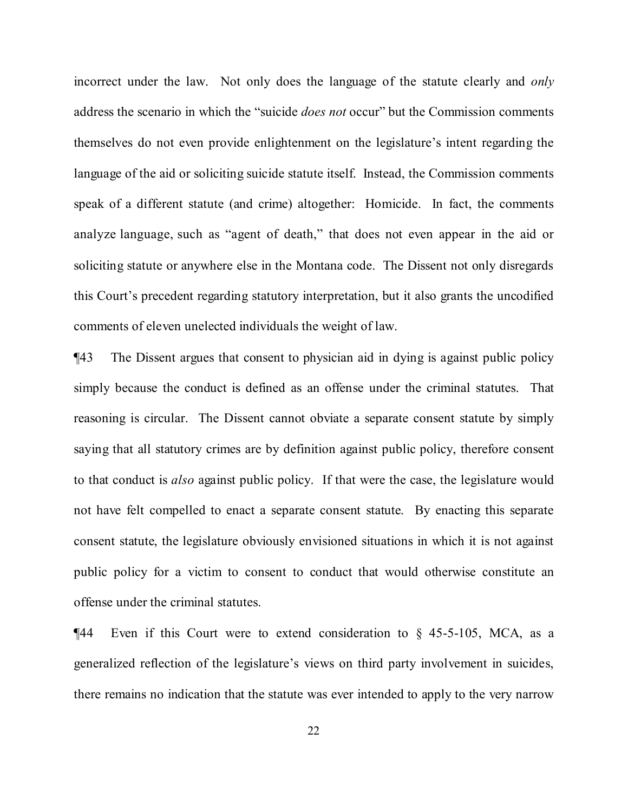incorrect under the law. Not only does the language of the statute clearly and *only* address the scenario in which the "suicide *does not* occur" but the Commission comments themselves do not even provide enlightenment on the legislature's intent regarding the language of the aid or soliciting suicide statute itself. Instead, the Commission comments speak of a different statute (and crime) altogether: Homicide. In fact, the comments analyze language, such as "agent of death," that does not even appear in the aid or soliciting statute or anywhere else in the Montana code. The Dissent not only disregards this Court's precedent regarding statutory interpretation, but it also grants the uncodified comments of eleven unelected individuals the weight of law.

¶43 The Dissent argues that consent to physician aid in dying is against public policy simply because the conduct is defined as an offense under the criminal statutes. That reasoning is circular. The Dissent cannot obviate a separate consent statute by simply saying that all statutory crimes are by definition against public policy, therefore consent to that conduct is *also* against public policy. If that were the case, the legislature would not have felt compelled to enact a separate consent statute. By enacting this separate consent statute, the legislature obviously envisioned situations in which it is not against public policy for a victim to consent to conduct that would otherwise constitute an offense under the criminal statutes.

¶44 Even if this Court were to extend consideration to § 45-5-105, MCA, as a generalized reflection of the legislature's views on third party involvement in suicides, there remains no indication that the statute was ever intended to apply to the very narrow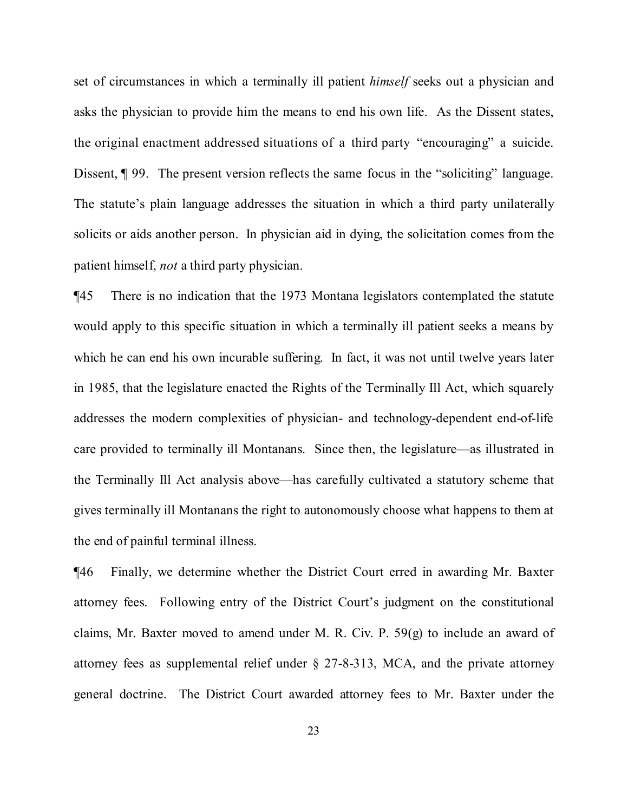set of circumstances in which a terminally ill patient *himself* seeks out a physician and asks the physician to provide him the means to end his own life. As the Dissent states, the original enactment addressed situations of a third party "encouraging" a suicide. Dissent, ¶ 99. The present version reflects the same focus in the "soliciting" language. The statute's plain language addresses the situation in which a third party unilaterally solicits or aids another person. In physician aid in dying, the solicitation comes from the patient himself, *not* a third party physician.

¶45 There is no indication that the 1973 Montana legislators contemplated the statute would apply to this specific situation in which a terminally ill patient seeks a means by which he can end his own incurable suffering. In fact, it was not until twelve years later in 1985, that the legislature enacted the Rights of the Terminally Ill Act, which squarely addresses the modern complexities of physician- and technology-dependent end-of-life care provided to terminally ill Montanans. Since then, the legislature—as illustrated in the Terminally Ill Act analysis above—has carefully cultivated a statutory scheme that gives terminally ill Montanans the right to autonomously choose what happens to them at the end of painful terminal illness.

¶46 Finally, we determine whether the District Court erred in awarding Mr. Baxter attorney fees. Following entry of the District Court's judgment on the constitutional claims, Mr. Baxter moved to amend under M. R. Civ. P. 59(g) to include an award of attorney fees as supplemental relief under § 27-8-313, MCA, and the private attorney general doctrine. The District Court awarded attorney fees to Mr. Baxter under the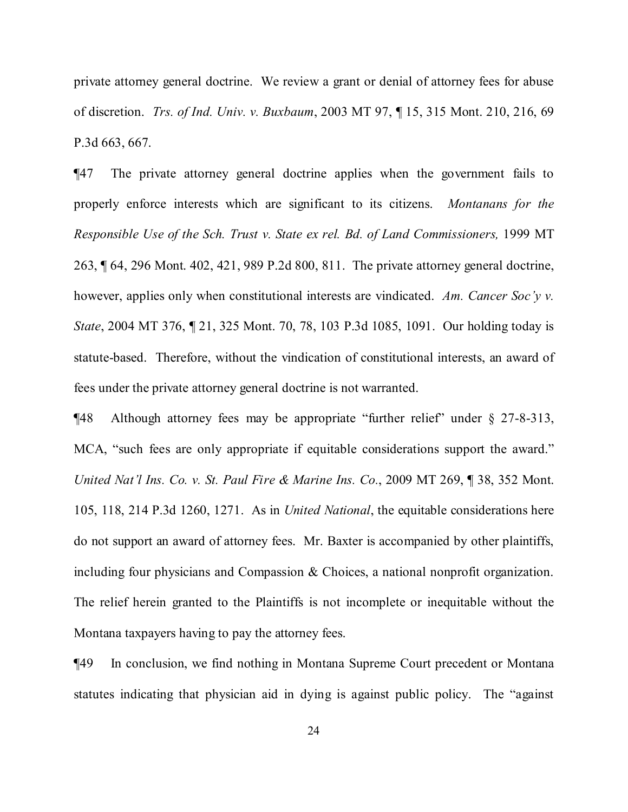private attorney general doctrine. We review a grant or denial of attorney fees for abuse of discretion. *Trs. of Ind. Univ. v. Buxbaum*, 2003 MT 97, ¶ 15, 315 Mont. 210, 216, 69 P.3d 663, 667.

¶47 The private attorney general doctrine applies when the government fails to properly enforce interests which are significant to its citizens. *Montanans for the Responsible Use of the Sch. Trust v. State ex rel. Bd. of Land Commissioners,* 1999 MT 263, ¶ 64, 296 Mont. 402, 421, 989 P.2d 800, 811. The private attorney general doctrine, however, applies only when constitutional interests are vindicated. *Am. Cancer Soc'y v. State*, 2004 MT 376, ¶ 21, 325 Mont. 70, 78, 103 P.3d 1085, 1091. Our holding today is statute-based. Therefore, without the vindication of constitutional interests, an award of fees under the private attorney general doctrine is not warranted.

¶48 Although attorney fees may be appropriate "further relief" under § 27-8-313, MCA, "such fees are only appropriate if equitable considerations support the award." *United Nat'l Ins. Co. v. St. Paul Fire & Marine Ins. Co.*, 2009 MT 269, ¶ 38, 352 Mont. 105, 118, 214 P.3d 1260, 1271. As in *United National*, the equitable considerations here do not support an award of attorney fees. Mr. Baxter is accompanied by other plaintiffs, including four physicians and Compassion & Choices, a national nonprofit organization. The relief herein granted to the Plaintiffs is not incomplete or inequitable without the Montana taxpayers having to pay the attorney fees.

¶49 In conclusion, we find nothing in Montana Supreme Court precedent or Montana statutes indicating that physician aid in dying is against public policy. The "against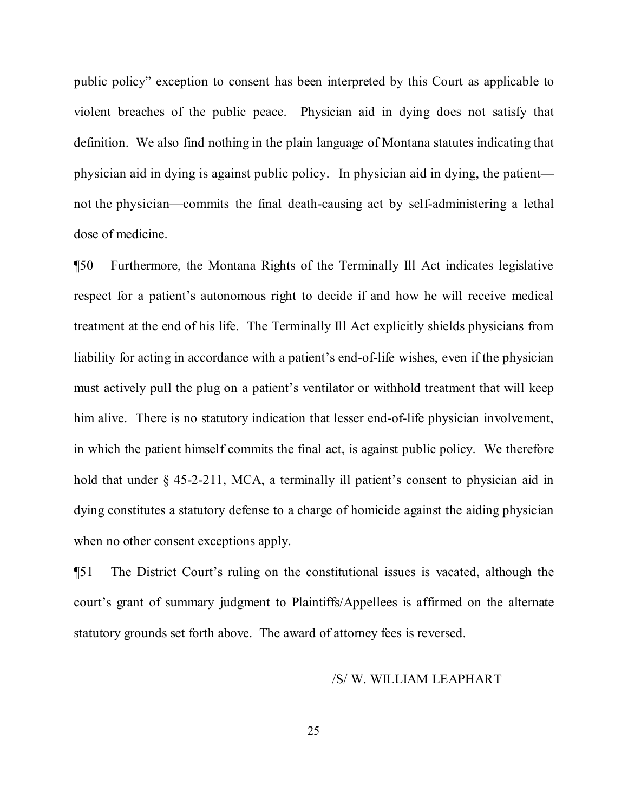public policy" exception to consent has been interpreted by this Court as applicable to violent breaches of the public peace. Physician aid in dying does not satisfy that definition. We also find nothing in the plain language of Montana statutes indicating that physician aid in dying is against public policy. In physician aid in dying, the patient not the physician—commits the final death-causing act by self-administering a lethal dose of medicine.

¶50 Furthermore, the Montana Rights of the Terminally Ill Act indicates legislative respect for a patient's autonomous right to decide if and how he will receive medical treatment at the end of his life. The Terminally Ill Act explicitly shields physicians from liability for acting in accordance with a patient's end-of-life wishes, even if the physician must actively pull the plug on a patient's ventilator or withhold treatment that will keep him alive. There is no statutory indication that lesser end-of-life physician involvement, in which the patient himself commits the final act, is against public policy. We therefore hold that under § 45-2-211, MCA, a terminally ill patient's consent to physician aid in dying constitutes a statutory defense to a charge of homicide against the aiding physician when no other consent exceptions apply.

¶51 The District Court's ruling on the constitutional issues is vacated, although the court's grant of summary judgment to Plaintiffs/Appellees is affirmed on the alternate statutory grounds set forth above. The award of attorney fees is reversed.

## /S/ W. WILLIAM LEAPHART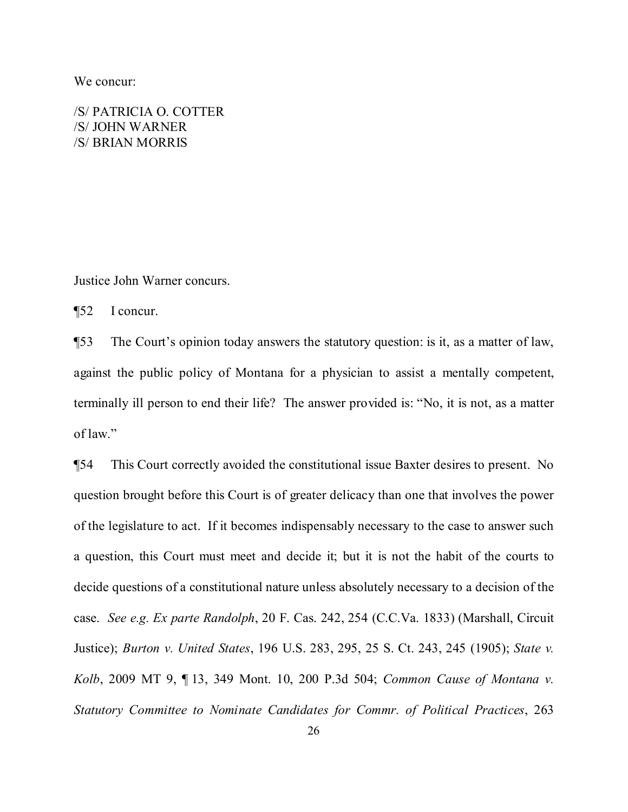We concur:

# /S/ PATRICIA O. COTTER /S/ JOHN WARNER /S/ BRIAN MORRIS

Justice John Warner concurs.

¶52 I concur.

¶53 The Court's opinion today answers the statutory question: is it, as a matter of law, against the public policy of Montana for a physician to assist a mentally competent, terminally ill person to end their life? The answer provided is: "No, it is not, as a matter of law."

¶54 This Court correctly avoided the constitutional issue Baxter desires to present. No question brought before this Court is of greater delicacy than one that involves the power of the legislature to act. If it becomes indispensably necessary to the case to answer such a question, this Court must meet and decide it; but it is not the habit of the courts to decide questions of a constitutional nature unless absolutely necessary to a decision of the case. *See e.g. Ex parte Randolph*, 20 F. Cas. 242, 254 (C.C.Va. 1833) (Marshall, Circuit Justice); *Burton v. United States*, 196 U.S. 283, 295, 25 S. Ct. 243, 245 (1905); *State v. Kolb*, 2009 MT 9, ¶ 13, 349 Mont. 10, 200 P.3d 504; *Common Cause of Montana v. Statutory Committee to Nominate Candidates for Commr. of Political Practices*, 263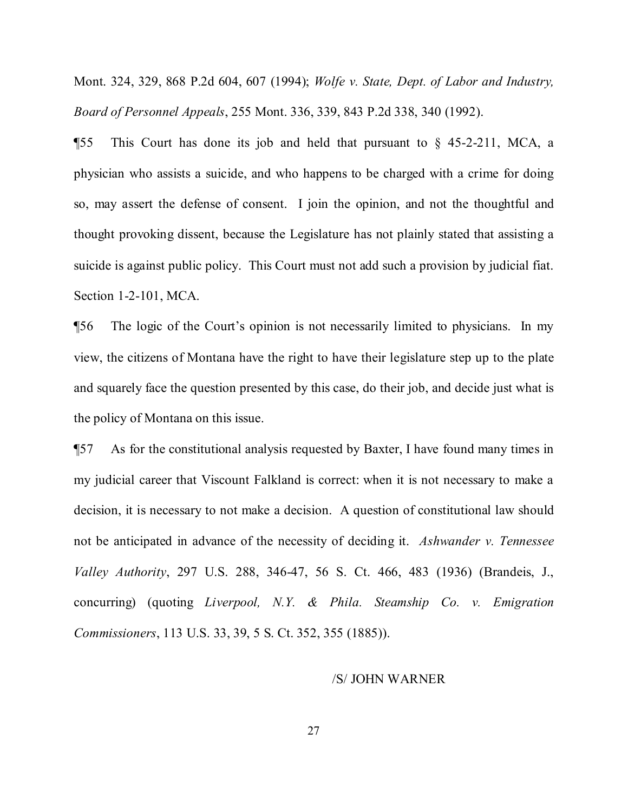Mont. 324, 329, 868 P.2d 604, 607 (1994); *Wolfe v. State, Dept. of Labor and Industry, Board of Personnel Appeals*, 255 Mont. 336, 339, 843 P.2d 338, 340 (1992).

¶55 This Court has done its job and held that pursuant to § 45-2-211, MCA, a physician who assists a suicide, and who happens to be charged with a crime for doing so, may assert the defense of consent. I join the opinion, and not the thoughtful and thought provoking dissent, because the Legislature has not plainly stated that assisting a suicide is against public policy. This Court must not add such a provision by judicial fiat. Section 1-2-101, MCA.

¶56 The logic of the Court's opinion is not necessarily limited to physicians. In my view, the citizens of Montana have the right to have their legislature step up to the plate and squarely face the question presented by this case, do their job, and decide just what is the policy of Montana on this issue.

¶57 As for the constitutional analysis requested by Baxter, I have found many times in my judicial career that Viscount Falkland is correct: when it is not necessary to make a decision, it is necessary to not make a decision. A question of constitutional law should not be anticipated in advance of the necessity of deciding it. *Ashwander v. Tennessee Valley Authority*, 297 U.S. 288, 346-47, 56 S. Ct. 466, 483 (1936) (Brandeis, J., concurring) (quoting *Liverpool, N.Y. & Phila. Steamship Co. v. Emigration Commissioners*, 113 U.S. 33, 39, 5 S. Ct. 352, 355 (1885)).

#### /S/ JOHN WARNER

27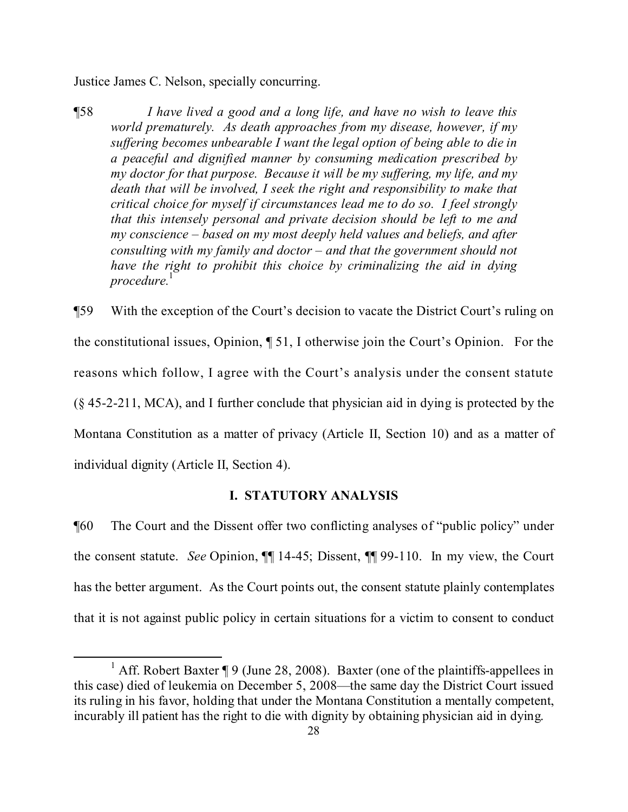Justice James C. Nelson, specially concurring.

¶58 *I have lived a good and a long life, and have no wish to leave this world prematurely. As death approaches from my disease, however, if my suffering becomes unbearable I want the legal option of being able to die in a peaceful and dignified manner by consuming medication prescribed by my doctor for that purpose. Because it will be my suffering, my life, and my death that will be involved, I seek the right and responsibility to make that critical choice for myself if circumstances lead me to do so. I feel strongly that this intensely personal and private decision should be left to me and my conscience – based on my most deeply held values and beliefs, and after consulting with my family and doctor – and that the government should not have the right to prohibit this choice by criminalizing the aid in dying procedure.*<sup>[1](#page-27-0)</sup>

¶59 With the exception of the Court's decision to vacate the District Court's ruling on the constitutional issues, Opinion, ¶ 51, I otherwise join the Court's Opinion. For the reasons which follow, I agree with the Court's analysis under the consent statute (§ 45-2-211, MCA), and I further conclude that physician aid in dying is protected by the Montana Constitution as a matter of privacy (Article II, Section 10) and as a matter of individual dignity (Article II, Section 4).

# **I. STATUTORY ANALYSIS**

¶60 The Court and the Dissent offer two conflicting analyses of "public policy" under the consent statute. *See* Opinion, ¶¶ 14-45; Dissent, ¶¶ 99-110. In my view, the Court has the better argument. As the Court points out, the consent statute plainly contemplates that it is not against public policy in certain situations for a victim to consent to conduct

<span id="page-27-0"></span><sup>&</sup>lt;sup>1</sup> Aff. Robert Baxter ¶ 9 (June 28, 2008). Baxter (one of the plaintiffs-appellees in this case) died of leukemia on December 5, 2008—the same day the District Court issued its ruling in his favor, holding that under the Montana Constitution a mentally competent, incurably ill patient has the right to die with dignity by obtaining physician aid in dying.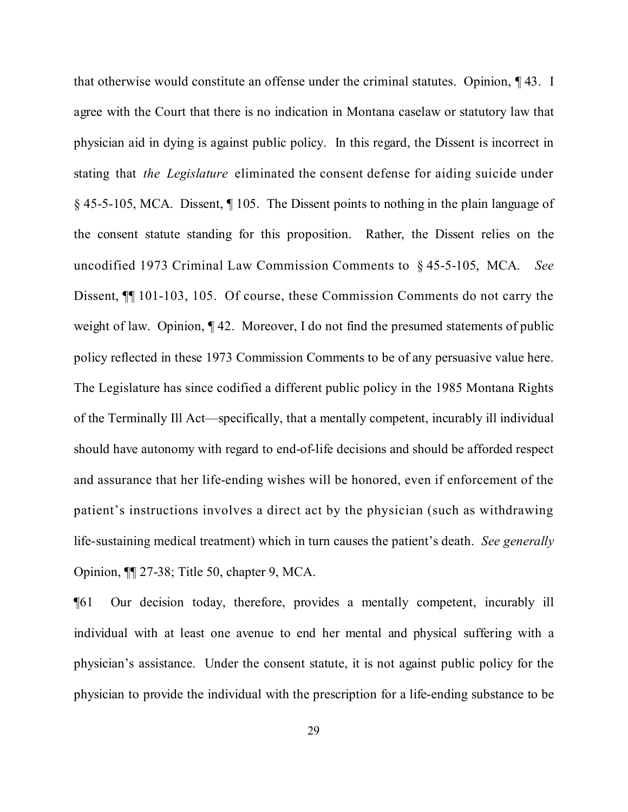that otherwise would constitute an offense under the criminal statutes. Opinion, ¶ 43. I agree with the Court that there is no indication in Montana caselaw or statutory law that physician aid in dying is against public policy. In this regard, the Dissent is incorrect in stating that *the Legislature* eliminated the consent defense for aiding suicide under § 45-5-105, MCA. Dissent, ¶ 105. The Dissent points to nothing in the plain language of the consent statute standing for this proposition. Rather, the Dissent relies on the uncodified 1973 Criminal Law Commission Comments to § 45-5-105, MCA. *See* Dissent, ¶¶ 101-103, 105. Of course, these Commission Comments do not carry the weight of law. Opinion,  $\P$  42. Moreover, I do not find the presumed statements of public policy reflected in these 1973 Commission Comments to be of any persuasive value here. The Legislature has since codified a different public policy in the 1985 Montana Rights of the Terminally Ill Act—specifically, that a mentally competent, incurably ill individual should have autonomy with regard to end-of-life decisions and should be afforded respect and assurance that her life-ending wishes will be honored, even if enforcement of the patient's instructions involves a direct act by the physician (such as withdrawing life-sustaining medical treatment) which in turn causes the patient's death. *See generally* Opinion, ¶¶ 27-38; Title 50, chapter 9, MCA.

¶61 Our decision today, therefore, provides a mentally competent, incurably ill individual with at least one avenue to end her mental and physical suffering with a physician's assistance. Under the consent statute, it is not against public policy for the physician to provide the individual with the prescription for a life-ending substance to be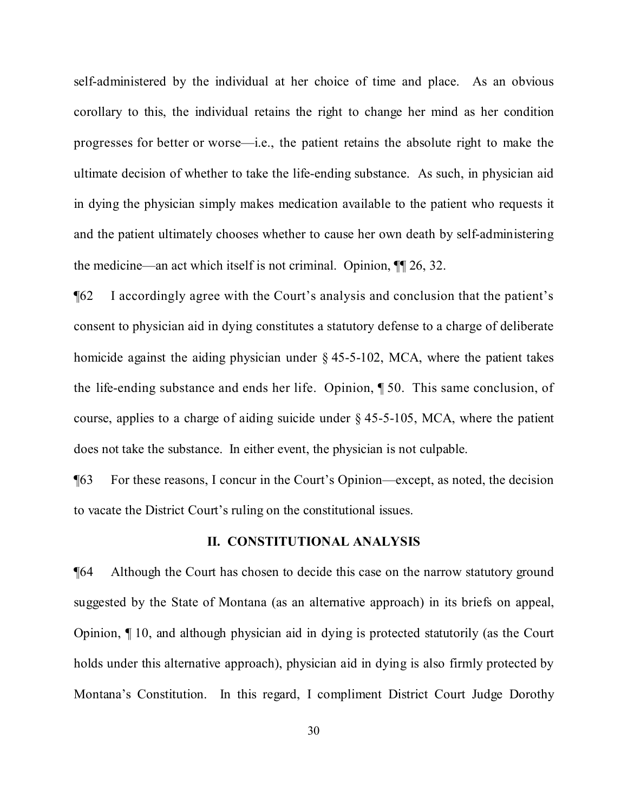self-administered by the individual at her choice of time and place. As an obvious corollary to this, the individual retains the right to change her mind as her condition progresses for better or worse—i.e., the patient retains the absolute right to make the ultimate decision of whether to take the life-ending substance. As such, in physician aid in dying the physician simply makes medication available to the patient who requests it and the patient ultimately chooses whether to cause her own death by self-administering the medicine—an act which itself is not criminal. Opinion, ¶¶ 26, 32.

¶62 I accordingly agree with the Court's analysis and conclusion that the patient's consent to physician aid in dying constitutes a statutory defense to a charge of deliberate homicide against the aiding physician under  $\S$  45-5-102, MCA, where the patient takes the life-ending substance and ends her life. Opinion, ¶ 50. This same conclusion, of course, applies to a charge of aiding suicide under § 45-5-105, MCA, where the patient does not take the substance. In either event, the physician is not culpable.

¶63 For these reasons, I concur in the Court's Opinion—except, as noted, the decision to vacate the District Court's ruling on the constitutional issues.

# **II. CONSTITUTIONAL ANALYSIS**

¶64 Although the Court has chosen to decide this case on the narrow statutory ground suggested by the State of Montana (as an alternative approach) in its briefs on appeal, Opinion, ¶ 10, and although physician aid in dying is protected statutorily (as the Court holds under this alternative approach), physician aid in dying is also firmly protected by Montana's Constitution. In this regard, I compliment District Court Judge Dorothy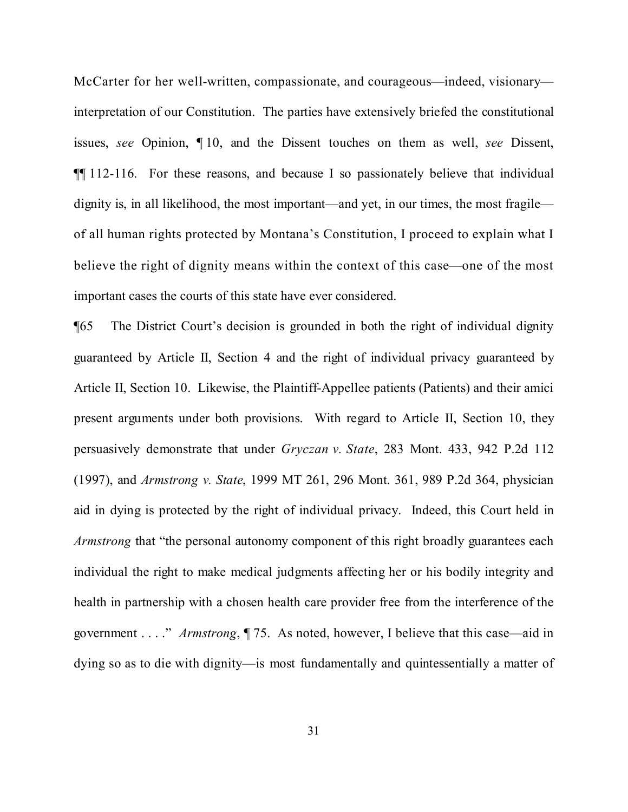McCarter for her well-written, compassionate, and courageous—indeed, visionary interpretation of our Constitution. The parties have extensively briefed the constitutional issues, *see* Opinion, ¶ 10, and the Dissent touches on them as well, *see* Dissent, ¶¶ 112-116. For these reasons, and because I so passionately believe that individual dignity is, in all likelihood, the most important—and yet, in our times, the most fragile of all human rights protected by Montana's Constitution, I proceed to explain what I believe the right of dignity means within the context of this case—one of the most important cases the courts of this state have ever considered.

¶65 The District Court's decision is grounded in both the right of individual dignity guaranteed by Article II, Section 4 and the right of individual privacy guaranteed by Article II, Section 10. Likewise, the Plaintiff-Appellee patients (Patients) and their amici present arguments under both provisions. With regard to Article II, Section 10, they persuasively demonstrate that under *Gryczan v. State*, 283 Mont. 433, 942 P.2d 112 (1997), and *Armstrong v. State*, 1999 MT 261, 296 Mont. 361, 989 P.2d 364, physician aid in dying is protected by the right of individual privacy. Indeed, this Court held in *Armstrong* that "the personal autonomy component of this right broadly guarantees each individual the right to make medical judgments affecting her or his bodily integrity and health in partnership with a chosen health care provider free from the interference of the government . . . ." *Armstrong*, ¶ 75. As noted, however, I believe that this case—aid in dying so as to die with dignity—is most fundamentally and quintessentially a matter of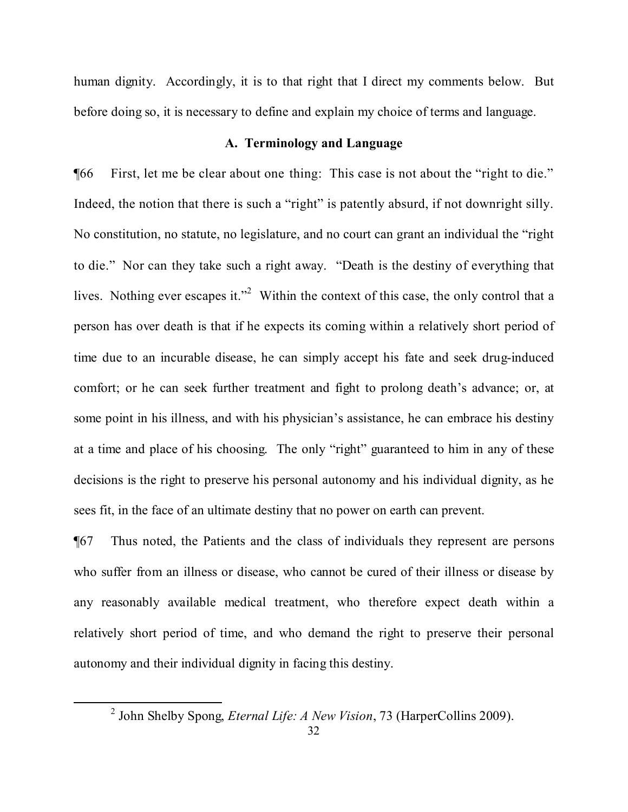human dignity. Accordingly, it is to that right that I direct my comments below. But before doing so, it is necessary to define and explain my choice of terms and language.

# **A. Terminology and Language**

¶66 First, let me be clear about one thing: This case is not about the "right to die." Indeed, the notion that there is such a "right" is patently absurd, if not downright silly. No constitution, no statute, no legislature, and no court can grant an individual the "right to die." Nor can they take such a right away. "Death is the destiny of everything that lives. Nothing ever escapes it."<sup>[2](#page-31-0)</sup> Within the context of this case, the only control that a person has over death is that if he expects its coming within a relatively short period of time due to an incurable disease, he can simply accept his fate and seek drug-induced comfort; or he can seek further treatment and fight to prolong death's advance; or, at some point in his illness, and with his physician's assistance, he can embrace his destiny at a time and place of his choosing. The only "right" guaranteed to him in any of these decisions is the right to preserve his personal autonomy and his individual dignity, as he sees fit, in the face of an ultimate destiny that no power on earth can prevent.

¶67 Thus noted, the Patients and the class of individuals they represent are persons who suffer from an illness or disease, who cannot be cured of their illness or disease by any reasonably available medical treatment, who therefore expect death within a relatively short period of time, and who demand the right to preserve their personal autonomy and their individual dignity in facing this destiny.

<span id="page-31-0"></span><sup>2</sup> John Shelby Spong, *Eternal Life: A New Vision*, 73 (HarperCollins 2009).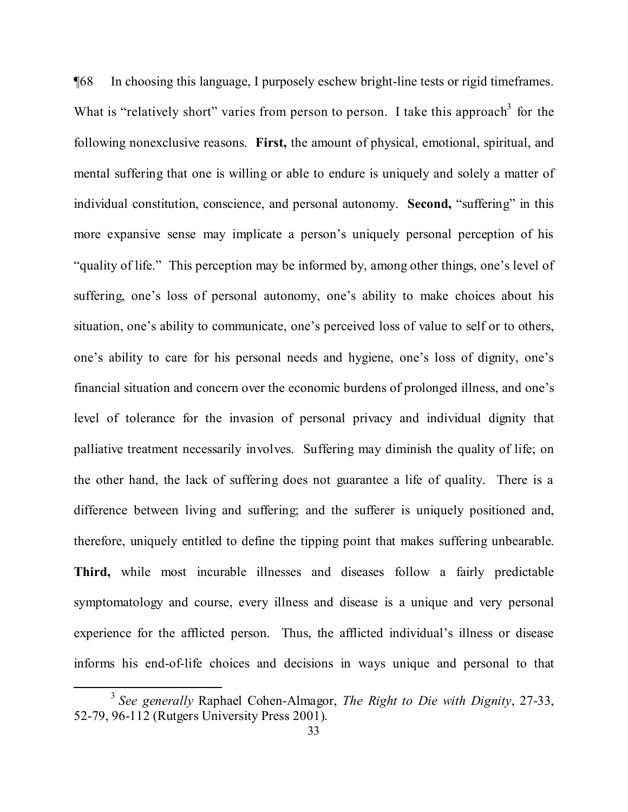¶68 In choosing this language, I purposely eschew bright-line tests or rigid timeframes. What is "relatively short" varies from person to person. I take this approach<sup>[3](#page-32-0)</sup> for the following nonexclusive reasons. **First,** the amount of physical, emotional, spiritual, and mental suffering that one is willing or able to endure is uniquely and solely a matter of individual constitution, conscience, and personal autonomy. **Second,** "suffering" in this more expansive sense may implicate a person's uniquely personal perception of his "quality of life." This perception may be informed by, among other things, one's level of suffering, one's loss of personal autonomy, one's ability to make choices about his situation, one's ability to communicate, one's perceived loss of value to self or to others, one's ability to care for his personal needs and hygiene, one's loss of dignity, one's financial situation and concern over the economic burdens of prolonged illness, and one's level of tolerance for the invasion of personal privacy and individual dignity that palliative treatment necessarily involves. Suffering may diminish the quality of life; on the other hand, the lack of suffering does not guarantee a life of quality. There is a difference between living and suffering; and the sufferer is uniquely positioned and, therefore, uniquely entitled to define the tipping point that makes suffering unbearable. **Third,** while most incurable illnesses and diseases follow a fairly predictable symptomatology and course, every illness and disease is a unique and very personal experience for the afflicted person. Thus, the afflicted individual's illness or disease informs his end-of-life choices and decisions in ways unique and personal to that

<span id="page-32-0"></span><sup>3</sup> *See generally* Raphael Cohen-Almagor, *The Right to Die with Dignity*, 27-33, 52-79, 96-112 (Rutgers University Press 2001).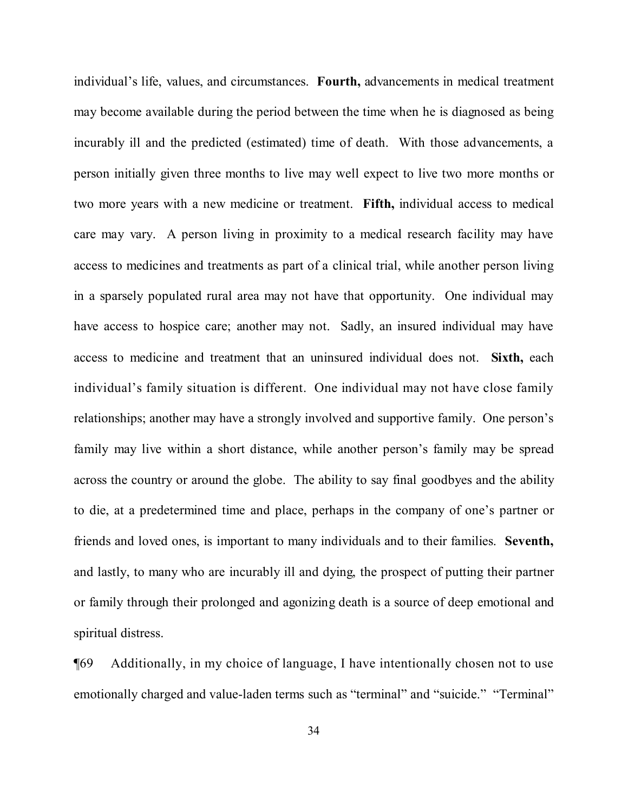individual's life, values, and circumstances. **Fourth,** advancements in medical treatment may become available during the period between the time when he is diagnosed as being incurably ill and the predicted (estimated) time of death. With those advancements, a person initially given three months to live may well expect to live two more months or two more years with a new medicine or treatment. **Fifth,** individual access to medical care may vary. A person living in proximity to a medical research facility may have access to medicines and treatments as part of a clinical trial, while another person living in a sparsely populated rural area may not have that opportunity. One individual may have access to hospice care; another may not. Sadly, an insured individual may have access to medicine and treatment that an uninsured individual does not. **Sixth,** each individual's family situation is different. One individual may not have close family relationships; another may have a strongly involved and supportive family. One person's family may live within a short distance, while another person's family may be spread across the country or around the globe. The ability to say final goodbyes and the ability to die, at a predetermined time and place, perhaps in the company of one's partner or friends and loved ones, is important to many individuals and to their families. **Seventh,** and lastly, to many who are incurably ill and dying, the prospect of putting their partner or family through their prolonged and agonizing death is a source of deep emotional and spiritual distress.

¶69 Additionally, in my choice of language, I have intentionally chosen not to use emotionally charged and value-laden terms such as "terminal" and "suicide." "Terminal"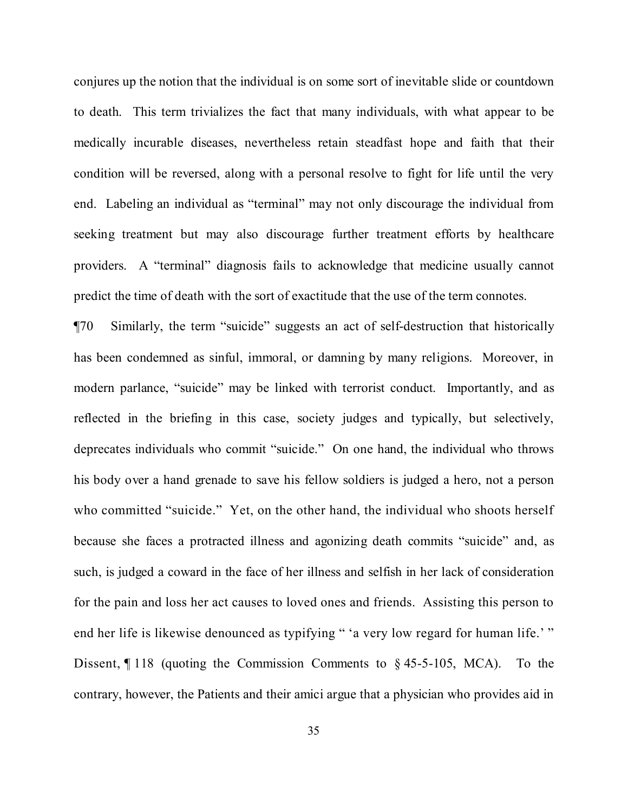conjures up the notion that the individual is on some sort of inevitable slide or countdown to death. This term trivializes the fact that many individuals, with what appear to be medically incurable diseases, nevertheless retain steadfast hope and faith that their condition will be reversed, along with a personal resolve to fight for life until the very end. Labeling an individual as "terminal" may not only discourage the individual from seeking treatment but may also discourage further treatment efforts by healthcare providers. A "terminal" diagnosis fails to acknowledge that medicine usually cannot predict the time of death with the sort of exactitude that the use of the term connotes.

¶70 Similarly, the term "suicide" suggests an act of self-destruction that historically has been condemned as sinful, immoral, or damning by many religions. Moreover, in modern parlance, "suicide" may be linked with terrorist conduct. Importantly, and as reflected in the briefing in this case, society judges and typically, but selectively, deprecates individuals who commit "suicide." On one hand, the individual who throws his body over a hand grenade to save his fellow soldiers is judged a hero, not a person who committed "suicide." Yet, on the other hand, the individual who shoots herself because she faces a protracted illness and agonizing death commits "suicide" and, as such, is judged a coward in the face of her illness and selfish in her lack of consideration for the pain and loss her act causes to loved ones and friends. Assisting this person to end her life is likewise denounced as typifying " 'a very low regard for human life.' " Dissent, ¶ 118 (quoting the Commission Comments to § 45-5-105, MCA). To the contrary, however, the Patients and their amici argue that a physician who provides aid in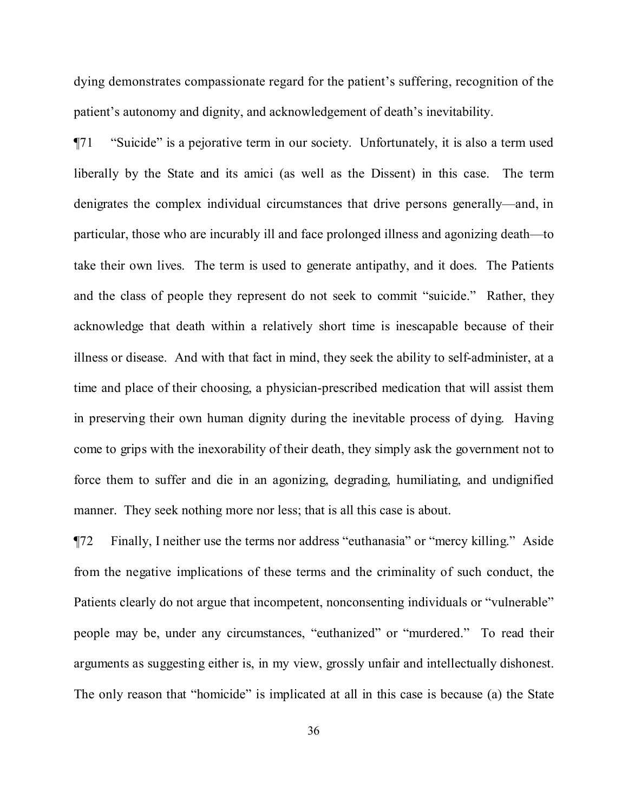dying demonstrates compassionate regard for the patient's suffering, recognition of the patient's autonomy and dignity, and acknowledgement of death's inevitability.

¶71 "Suicide" is a pejorative term in our society. Unfortunately, it is also a term used liberally by the State and its amici (as well as the Dissent) in this case. The term denigrates the complex individual circumstances that drive persons generally—and, in particular, those who are incurably ill and face prolonged illness and agonizing death—to take their own lives. The term is used to generate antipathy, and it does. The Patients and the class of people they represent do not seek to commit "suicide." Rather, they acknowledge that death within a relatively short time is inescapable because of their illness or disease. And with that fact in mind, they seek the ability to self-administer, at a time and place of their choosing, a physician-prescribed medication that will assist them in preserving their own human dignity during the inevitable process of dying. Having come to grips with the inexorability of their death, they simply ask the government not to force them to suffer and die in an agonizing, degrading, humiliating, and undignified manner. They seek nothing more nor less; that is all this case is about.

¶72 Finally, I neither use the terms nor address "euthanasia" or "mercy killing." Aside from the negative implications of these terms and the criminality of such conduct, the Patients clearly do not argue that incompetent, nonconsenting individuals or "vulnerable" people may be, under any circumstances, "euthanized" or "murdered." To read their arguments as suggesting either is, in my view, grossly unfair and intellectually dishonest. The only reason that "homicide" is implicated at all in this case is because (a) the State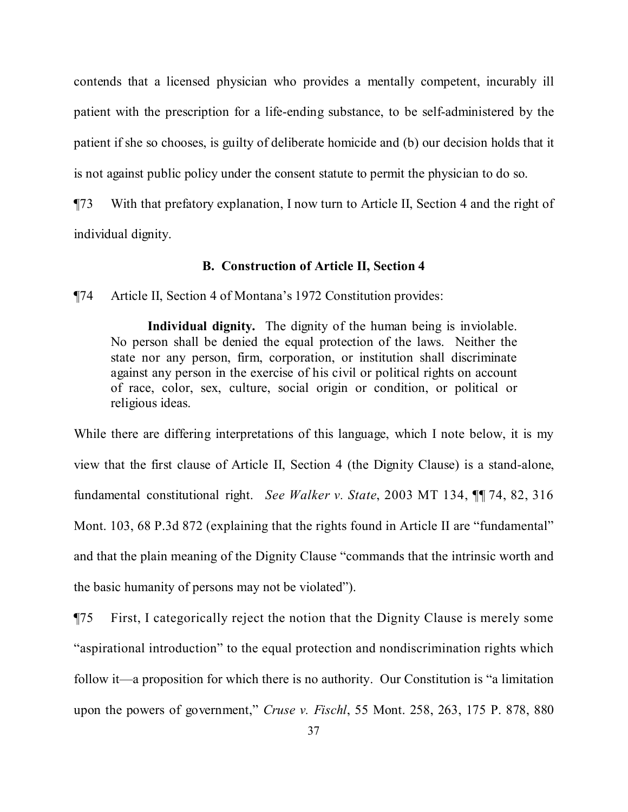contends that a licensed physician who provides a mentally competent, incurably ill patient with the prescription for a life-ending substance, to be self-administered by the patient if she so chooses, is guilty of deliberate homicide and (b) our decision holds that it is not against public policy under the consent statute to permit the physician to do so.

¶73 With that prefatory explanation, I now turn to Article II, Section 4 and the right of individual dignity.

## **B. Construction of Article II, Section 4**

¶74 Article II, Section 4 of Montana's 1972 Constitution provides:

**Individual dignity.** The dignity of the human being is inviolable. No person shall be denied the equal protection of the laws. Neither the state nor any person, firm, corporation, or institution shall discriminate against any person in the exercise of his civil or political rights on account of race, color, sex, culture, social origin or condition, or political or religious ideas.

While there are differing interpretations of this language, which I note below, it is my view that the first clause of Article II, Section 4 (the Dignity Clause) is a stand-alone, fundamental constitutional right. *See Walker v. State*, 2003 MT 134, ¶¶ 74, 82, 316 Mont. 103, 68 P.3d 872 (explaining that the rights found in Article II are "fundamental" and that the plain meaning of the Dignity Clause "commands that the intrinsic worth and the basic humanity of persons may not be violated").

¶75 First, I categorically reject the notion that the Dignity Clause is merely some "aspirational introduction" to the equal protection and nondiscrimination rights which follow it—a proposition for which there is no authority. Our Constitution is "a limitation upon the powers of government," *Cruse v. Fischl*, 55 Mont. 258, 263, 175 P. 878, 880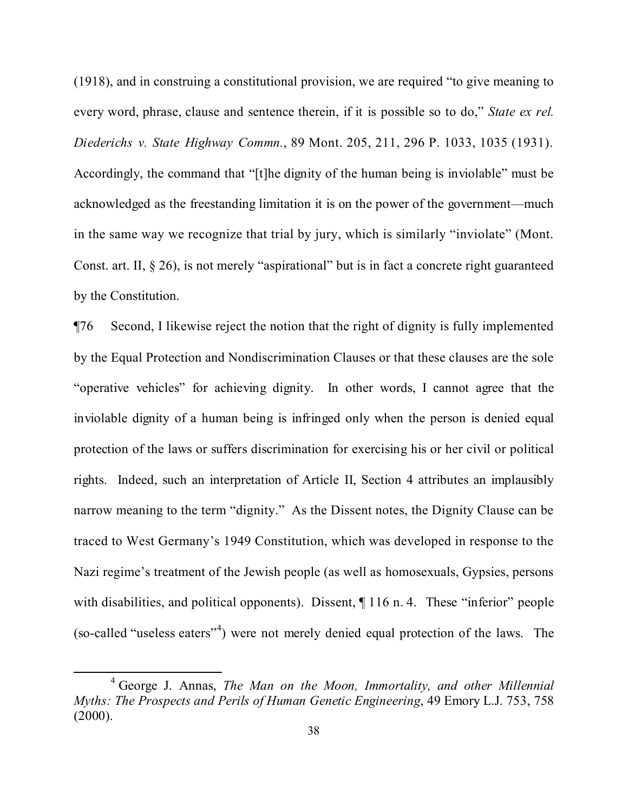(1918), and in construing a constitutional provision, we are required "to give meaning to every word, phrase, clause and sentence therein, if it is possible so to do," *State ex rel. Diederichs v. State Highway Commn.*, 89 Mont. 205, 211, 296 P. 1033, 1035 (1931). Accordingly, the command that "[t]he dignity of the human being is inviolable" must be acknowledged as the freestanding limitation it is on the power of the government—much in the same way we recognize that trial by jury, which is similarly "inviolate" (Mont. Const. art. II, § 26), is not merely "aspirational" but is in fact a concrete right guaranteed by the Constitution.

¶76 Second, I likewise reject the notion that the right of dignity is fully implemented by the Equal Protection and Nondiscrimination Clauses or that these clauses are the sole "operative vehicles" for achieving dignity. In other words, I cannot agree that the inviolable dignity of a human being is infringed only when the person is denied equal protection of the laws or suffers discrimination for exercising his or her civil or political rights. Indeed, such an interpretation of Article II, Section 4 attributes an implausibly narrow meaning to the term "dignity." As the Dissent notes, the Dignity Clause can be traced to West Germany's 1949 Constitution, which was developed in response to the Nazi regime's treatment of the Jewish people (as well as homosexuals, Gypsies, persons with disabilities, and political opponents). Dissent,  $\P$  116 n. 4. These "inferior" people (so-called "useless eaters"<sup>[4](#page-37-0)</sup>) were not merely denied equal protection of the laws. The

<span id="page-37-0"></span><sup>4</sup> George J. Annas, *The Man on the Moon, Immortality, and other Millennial Myths: The Prospects and Perils of Human Genetic Engineering*, 49 Emory L.J. 753, 758  $(2000)$ .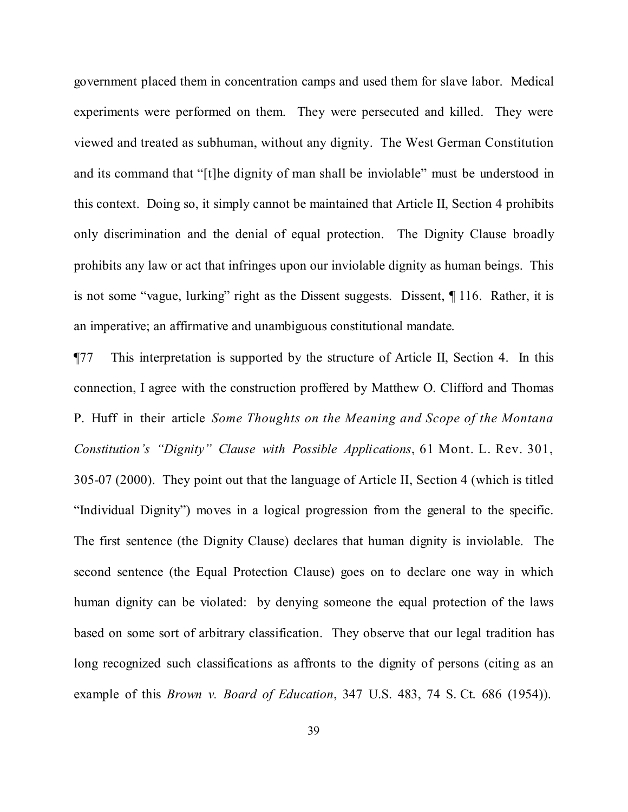government placed them in concentration camps and used them for slave labor. Medical experiments were performed on them. They were persecuted and killed. They were viewed and treated as subhuman, without any dignity. The West German Constitution and its command that "[t]he dignity of man shall be inviolable" must be understood in this context. Doing so, it simply cannot be maintained that Article II, Section 4 prohibits only discrimination and the denial of equal protection. The Dignity Clause broadly prohibits any law or act that infringes upon our inviolable dignity as human beings. This is not some "vague, lurking" right as the Dissent suggests. Dissent, ¶ 116. Rather, it is an imperative; an affirmative and unambiguous constitutional mandate.

¶77 This interpretation is supported by the structure of Article II, Section 4. In this connection, I agree with the construction proffered by Matthew O. Clifford and Thomas P. Huff in their article *Some Thoughts on the Meaning and Scope of the Montana Constitution's "Dignity" Clause with Possible Applications*, 61 Mont. L. Rev. 301, 305-07 (2000). They point out that the language of Article II, Section 4 (which is titled "Individual Dignity") moves in a logical progression from the general to the specific. The first sentence (the Dignity Clause) declares that human dignity is inviolable. The second sentence (the Equal Protection Clause) goes on to declare one way in which human dignity can be violated: by denying someone the equal protection of the laws based on some sort of arbitrary classification. They observe that our legal tradition has long recognized such classifications as affronts to the dignity of persons (citing as an example of this *Brown v. Board of Education*, 347 U.S. 483, 74 S. Ct. 686 (1954)).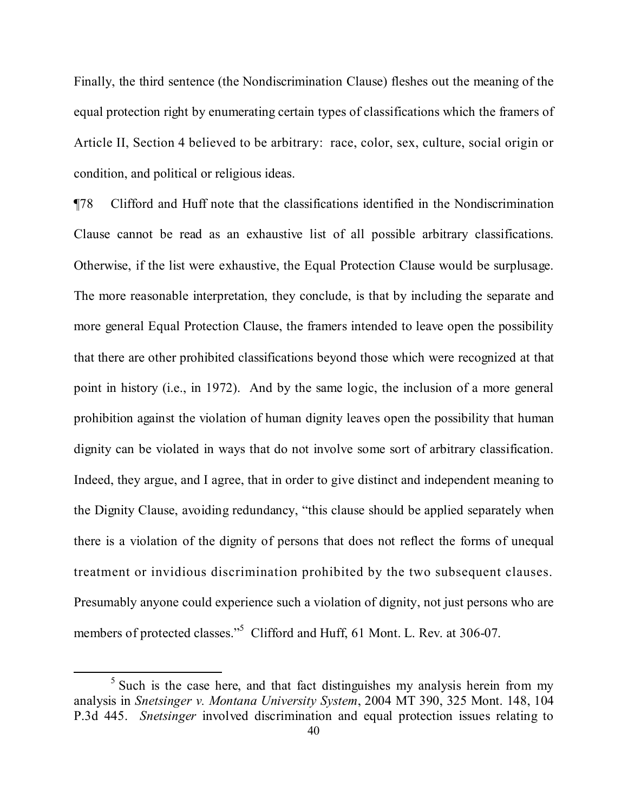Finally, the third sentence (the Nondiscrimination Clause) fleshes out the meaning of the equal protection right by enumerating certain types of classifications which the framers of Article II, Section 4 believed to be arbitrary: race, color, sex, culture, social origin or condition, and political or religious ideas.

¶78 Clifford and Huff note that the classifications identified in the Nondiscrimination Clause cannot be read as an exhaustive list of all possible arbitrary classifications. Otherwise, if the list were exhaustive, the Equal Protection Clause would be surplusage. The more reasonable interpretation, they conclude, is that by including the separate and more general Equal Protection Clause, the framers intended to leave open the possibility that there are other prohibited classifications beyond those which were recognized at that point in history (i.e., in 1972). And by the same logic, the inclusion of a more general prohibition against the violation of human dignity leaves open the possibility that human dignity can be violated in ways that do not involve some sort of arbitrary classification. Indeed, they argue, and I agree, that in order to give distinct and independent meaning to the Dignity Clause, avoiding redundancy, "this clause should be applied separately when there is a violation of the dignity of persons that does not reflect the forms of unequal treatment or invidious discrimination prohibited by the two subsequent clauses. Presumably anyone could experience such a violation of dignity, not just persons who are members of protected classes."<sup>[5](#page-39-0)</sup> Clifford and Huff, 61 Mont. L. Rev. at 306-07.

<span id="page-39-0"></span> $5$  Such is the case here, and that fact distinguishes my analysis herein from my analysis in *Snetsinger v. Montana University System*, 2004 MT 390, 325 Mont. 148, 104 P.3d 445. *Snetsinger* involved discrimination and equal protection issues relating to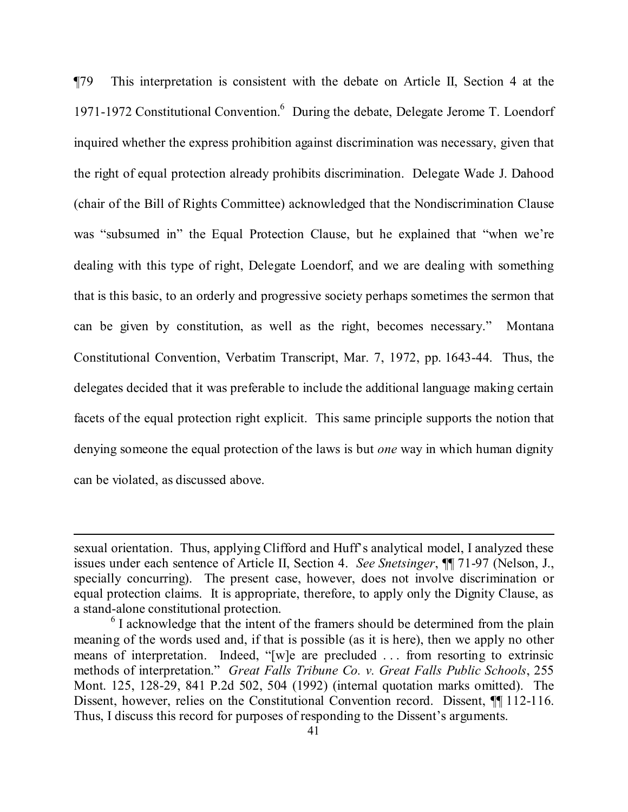¶79 This interpretation is consistent with the debate on Article II, Section 4 at the 1971-1972 Constitutional Convention.[6](#page-40-0) During the debate, Delegate Jerome T. Loendorf inquired whether the express prohibition against discrimination was necessary, given that the right of equal protection already prohibits discrimination. Delegate Wade J. Dahood (chair of the Bill of Rights Committee) acknowledged that the Nondiscrimination Clause was "subsumed in" the Equal Protection Clause, but he explained that "when we're dealing with this type of right, Delegate Loendorf, and we are dealing with something that is this basic, to an orderly and progressive society perhaps sometimes the sermon that can be given by constitution, as well as the right, becomes necessary." Montana Constitutional Convention, Verbatim Transcript, Mar. 7, 1972, pp. 1643-44. Thus, the delegates decided that it was preferable to include the additional language making certain facets of the equal protection right explicit. This same principle supports the notion that denying someone the equal protection of the laws is but *one* way in which human dignity can be violated, as discussed above.

sexual orientation. Thus, applying Clifford and Huff's analytical model, I analyzed these issues under each sentence of Article II, Section 4. *See Snetsinger*, ¶¶ 71-97 (Nelson, J., specially concurring). The present case, however, does not involve discrimination or equal protection claims. It is appropriate, therefore, to apply only the Dignity Clause, as a stand-alone constitutional protection.

<span id="page-40-0"></span> $6$  I acknowledge that the intent of the framers should be determined from the plain meaning of the words used and, if that is possible (as it is here), then we apply no other means of interpretation. Indeed, "[w]e are precluded . . . from resorting to extrinsic methods of interpretation." *Great Falls Tribune Co. v. Great Falls Public Schools*, 255 Mont. 125, 128-29, 841 P.2d 502, 504 (1992) (internal quotation marks omitted). The Dissent, however, relies on the Constitutional Convention record. Dissent,  $\P$  112-116. Thus, I discuss this record for purposes of responding to the Dissent's arguments.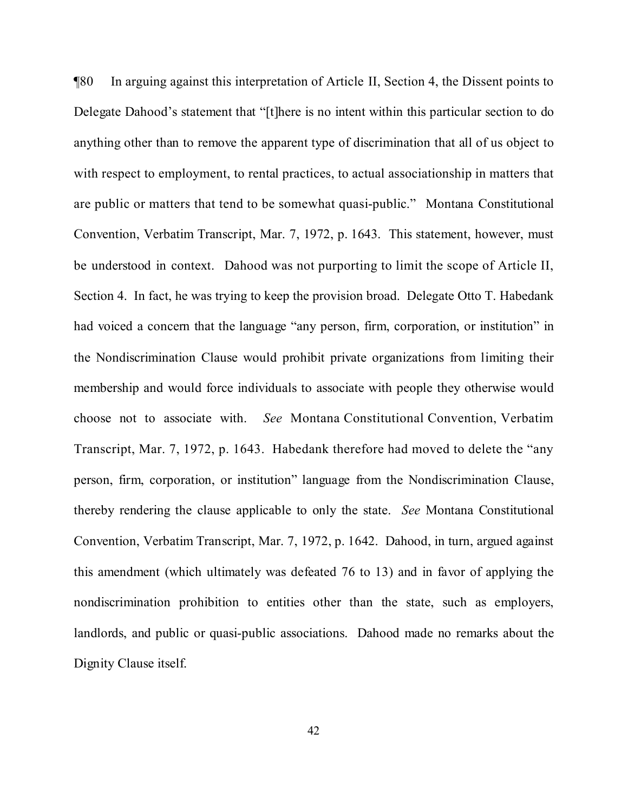¶80 In arguing against this interpretation of Article II, Section 4, the Dissent points to Delegate Dahood's statement that "[t]here is no intent within this particular section to do anything other than to remove the apparent type of discrimination that all of us object to with respect to employment, to rental practices, to actual associationship in matters that are public or matters that tend to be somewhat quasi-public." Montana Constitutional Convention, Verbatim Transcript, Mar. 7, 1972, p. 1643. This statement, however, must be understood in context. Dahood was not purporting to limit the scope of Article II, Section 4. In fact, he was trying to keep the provision broad. Delegate Otto T. Habedank had voiced a concern that the language "any person, firm, corporation, or institution" in the Nondiscrimination Clause would prohibit private organizations from limiting their membership and would force individuals to associate with people they otherwise would choose not to associate with. *See* Montana Constitutional Convention, Verbatim Transcript, Mar. 7, 1972, p. 1643. Habedank therefore had moved to delete the "any person, firm, corporation, or institution" language from the Nondiscrimination Clause, thereby rendering the clause applicable to only the state. *See* Montana Constitutional Convention, Verbatim Transcript, Mar. 7, 1972, p. 1642. Dahood, in turn, argued against this amendment (which ultimately was defeated 76 to 13) and in favor of applying the nondiscrimination prohibition to entities other than the state, such as employers, landlords, and public or quasi-public associations. Dahood made no remarks about the Dignity Clause itself.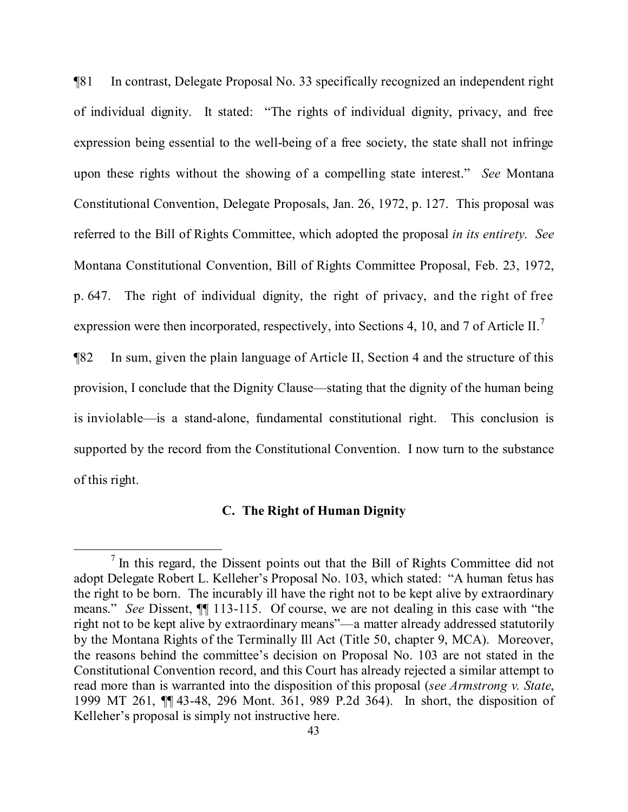¶81 In contrast, Delegate Proposal No. 33 specifically recognized an independent right of individual dignity. It stated: "The rights of individual dignity, privacy, and free expression being essential to the well-being of a free society, the state shall not infringe upon these rights without the showing of a compelling state interest." *See* Montana Constitutional Convention, Delegate Proposals, Jan. 26, 1972, p. 127. This proposal was referred to the Bill of Rights Committee, which adopted the proposal *in its entirety*. *See* Montana Constitutional Convention, Bill of Rights Committee Proposal, Feb. 23, 1972, p. 647. The right of individual dignity, the right of privacy, and the right of free expression were then incorporated, respectively, into Sections 4, 10, and 7 of Article II.[7](#page-42-0)

¶82 In sum, given the plain language of Article II, Section 4 and the structure of this provision, I conclude that the Dignity Clause—stating that the dignity of the human being is inviolable—is a stand-alone, fundamental constitutional right. This conclusion is supported by the record from the Constitutional Convention. I now turn to the substance of this right.

## **C. The Right of Human Dignity**

<span id="page-42-0"></span> $<sup>7</sup>$  In this regard, the Dissent points out that the Bill of Rights Committee did not</sup> adopt Delegate Robert L. Kelleher's Proposal No. 103, which stated: "A human fetus has the right to be born. The incurably ill have the right not to be kept alive by extraordinary means." *See* Dissent, ¶¶ 113-115. Of course, we are not dealing in this case with "the right not to be kept alive by extraordinary means"—a matter already addressed statutorily by the Montana Rights of the Terminally Ill Act (Title 50, chapter 9, MCA). Moreover, the reasons behind the committee's decision on Proposal No. 103 are not stated in the Constitutional Convention record, and this Court has already rejected a similar attempt to read more than is warranted into the disposition of this proposal (*see Armstrong v. State*, 1999 MT 261, ¶¶ 43-48, 296 Mont. 361, 989 P.2d 364). In short, the disposition of Kelleher's proposal is simply not instructive here.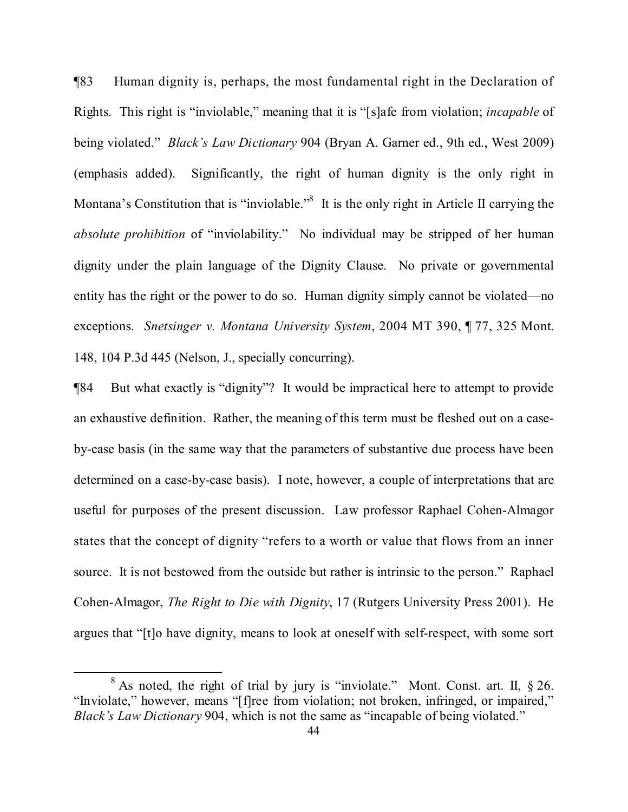¶83 Human dignity is, perhaps, the most fundamental right in the Declaration of Rights. This right is "inviolable," meaning that it is "[s]afe from violation; *incapable* of being violated." *Black's Law Dictionary* 904 (Bryan A. Garner ed., 9th ed., West 2009) (emphasis added). Significantly, the right of human dignity is the only right in Montana's Constitution that is "inviolable."<sup>[8](#page-43-0)</sup> It is the only right in Article II carrying the *absolute prohibition* of "inviolability." No individual may be stripped of her human dignity under the plain language of the Dignity Clause. No private or governmental entity has the right or the power to do so. Human dignity simply cannot be violated—no exceptions. *Snetsinger v. Montana University System*, 2004 MT 390, ¶ 77, 325 Mont. 148, 104 P.3d 445 (Nelson, J., specially concurring).

¶84 But what exactly is "dignity"? It would be impractical here to attempt to provide an exhaustive definition. Rather, the meaning of this term must be fleshed out on a caseby-case basis (in the same way that the parameters of substantive due process have been determined on a case-by-case basis). I note, however, a couple of interpretations that are useful for purposes of the present discussion. Law professor Raphael Cohen-Almagor states that the concept of dignity "refers to a worth or value that flows from an inner source. It is not bestowed from the outside but rather is intrinsic to the person." Raphael Cohen-Almagor, *The Right to Die with Dignity*, 17 (Rutgers University Press 2001). He argues that "[t]o have dignity, means to look at oneself with self-respect, with some sort

<span id="page-43-0"></span> $8$  As noted, the right of trial by jury is "inviolate." Mont. Const. art. II,  $\S 26$ . "Inviolate," however, means "[f]ree from violation; not broken, infringed, or impaired," *Black's Law Dictionary* 904, which is not the same as "incapable of being violated."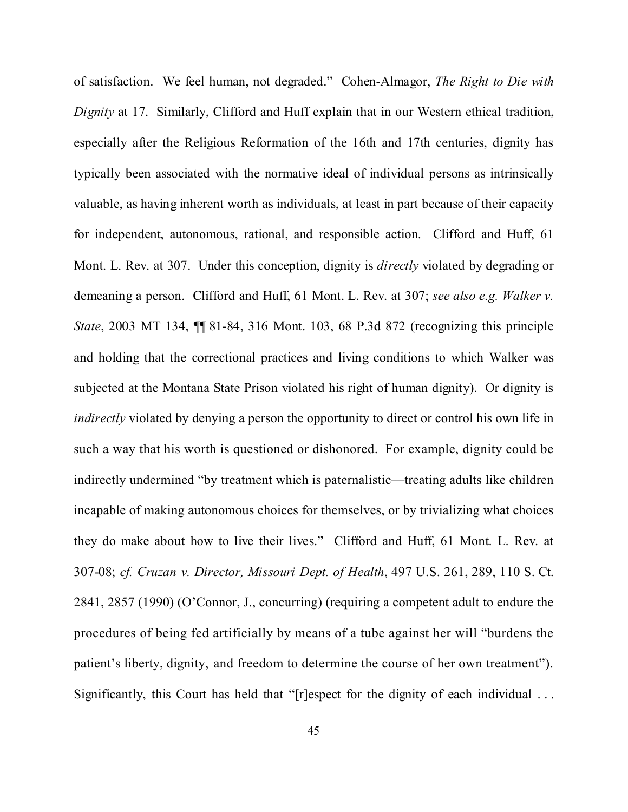of satisfaction. We feel human, not degraded." Cohen-Almagor, *The Right to Die with Dignity* at 17. Similarly, Clifford and Huff explain that in our Western ethical tradition, especially after the Religious Reformation of the 16th and 17th centuries, dignity has typically been associated with the normative ideal of individual persons as intrinsically valuable, as having inherent worth as individuals, at least in part because of their capacity for independent, autonomous, rational, and responsible action. Clifford and Huff, 61 Mont. L. Rev. at 307. Under this conception, dignity is *directly* violated by degrading or demeaning a person. Clifford and Huff, 61 Mont. L. Rev. at 307; *see also e.g. Walker v. State*, 2003 MT 134,  $\P$  81-84, 316 Mont. 103, 68 P.3d 872 (recognizing this principle and holding that the correctional practices and living conditions to which Walker was subjected at the Montana State Prison violated his right of human dignity). Or dignity is *indirectly* violated by denying a person the opportunity to direct or control his own life in such a way that his worth is questioned or dishonored. For example, dignity could be indirectly undermined "by treatment which is paternalistic—treating adults like children incapable of making autonomous choices for themselves, or by trivializing what choices they do make about how to live their lives." Clifford and Huff, 61 Mont. L. Rev. at 307-08; *cf. Cruzan v. Director, Missouri Dept. of Health*, 497 U.S. 261, 289, 110 S. Ct. 2841, 2857 (1990) (O'Connor, J., concurring) (requiring a competent adult to endure the procedures of being fed artificially by means of a tube against her will "burdens the patient's liberty, dignity, and freedom to determine the course of her own treatment"). Significantly, this Court has held that "[r]espect for the dignity of each individual ...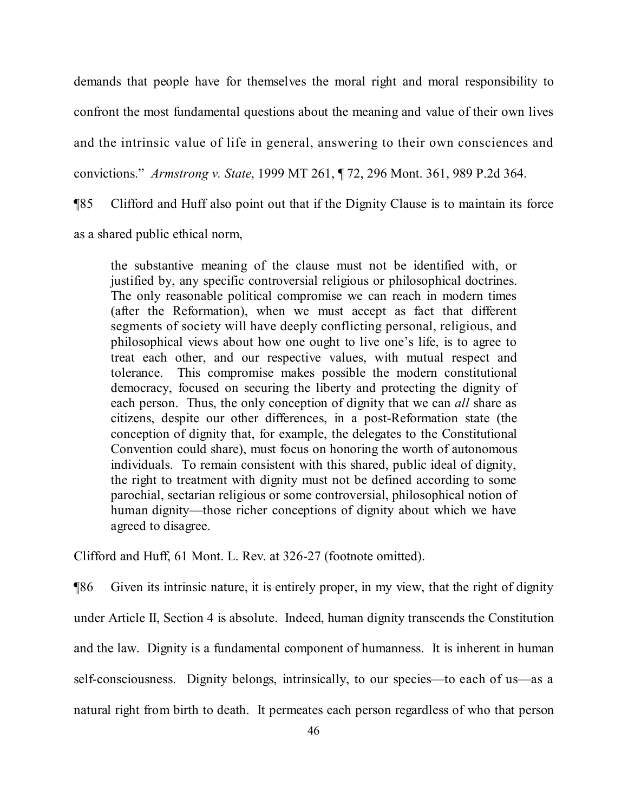demands that people have for themselves the moral right and moral responsibility to confront the most fundamental questions about the meaning and value of their own lives and the intrinsic value of life in general, answering to their own consciences and convictions." *Armstrong v. State*, 1999 MT 261, ¶ 72, 296 Mont. 361, 989 P.2d 364.

¶85 Clifford and Huff also point out that if the Dignity Clause is to maintain its force as a shared public ethical norm,

the substantive meaning of the clause must not be identified with, or justified by, any specific controversial religious or philosophical doctrines. The only reasonable political compromise we can reach in modern times (after the Reformation), when we must accept as fact that different segments of society will have deeply conflicting personal, religious, and philosophical views about how one ought to live one's life, is to agree to treat each other, and our respective values, with mutual respect and tolerance. This compromise makes possible the modern constitutional democracy, focused on securing the liberty and protecting the dignity of each person. Thus, the only conception of dignity that we can *all* share as citizens, despite our other differences, in a post-Reformation state (the conception of dignity that, for example, the delegates to the Constitutional Convention could share), must focus on honoring the worth of autonomous individuals. To remain consistent with this shared, public ideal of dignity, the right to treatment with dignity must not be defined according to some parochial, sectarian religious or some controversial, philosophical notion of human dignity—those richer conceptions of dignity about which we have agreed to disagree.

Clifford and Huff, 61 Mont. L. Rev. at 326-27 (footnote omitted).

¶86 Given its intrinsic nature, it is entirely proper, in my view, that the right of dignity under Article II, Section 4 is absolute. Indeed, human dignity transcends the Constitution and the law. Dignity is a fundamental component of humanness. It is inherent in human self-consciousness. Dignity belongs, intrinsically, to our species—to each of us—as a natural right from birth to death. It permeates each person regardless of who that person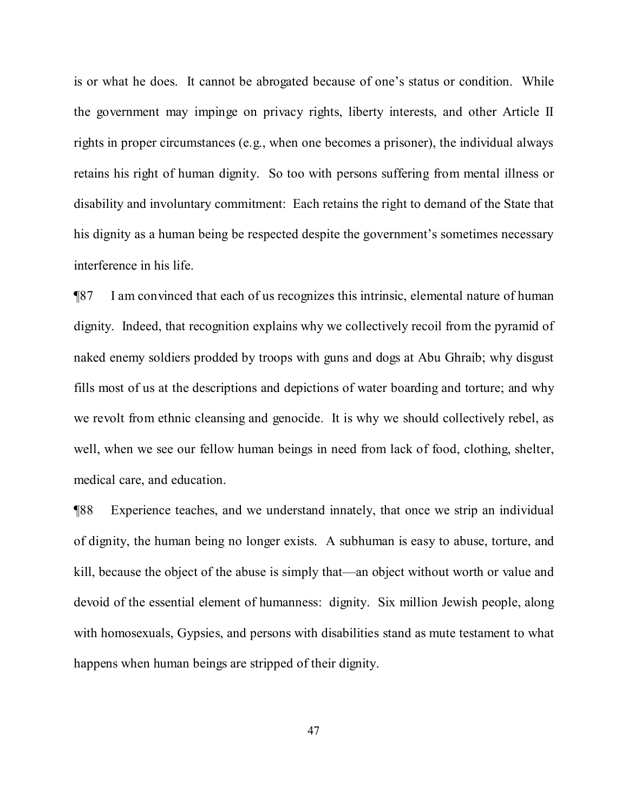is or what he does. It cannot be abrogated because of one's status or condition. While the government may impinge on privacy rights, liberty interests, and other Article II rights in proper circumstances (e.g., when one becomes a prisoner), the individual always retains his right of human dignity. So too with persons suffering from mental illness or disability and involuntary commitment: Each retains the right to demand of the State that his dignity as a human being be respected despite the government's sometimes necessary interference in his life.

¶87 I am convinced that each of us recognizes this intrinsic, elemental nature of human dignity. Indeed, that recognition explains why we collectively recoil from the pyramid of naked enemy soldiers prodded by troops with guns and dogs at Abu Ghraib; why disgust fills most of us at the descriptions and depictions of water boarding and torture; and why we revolt from ethnic cleansing and genocide. It is why we should collectively rebel, as well, when we see our fellow human beings in need from lack of food, clothing, shelter, medical care, and education.

¶88 Experience teaches, and we understand innately, that once we strip an individual of dignity, the human being no longer exists. A subhuman is easy to abuse, torture, and kill, because the object of the abuse is simply that—an object without worth or value and devoid of the essential element of humanness: dignity. Six million Jewish people, along with homosexuals, Gypsies, and persons with disabilities stand as mute testament to what happens when human beings are stripped of their dignity.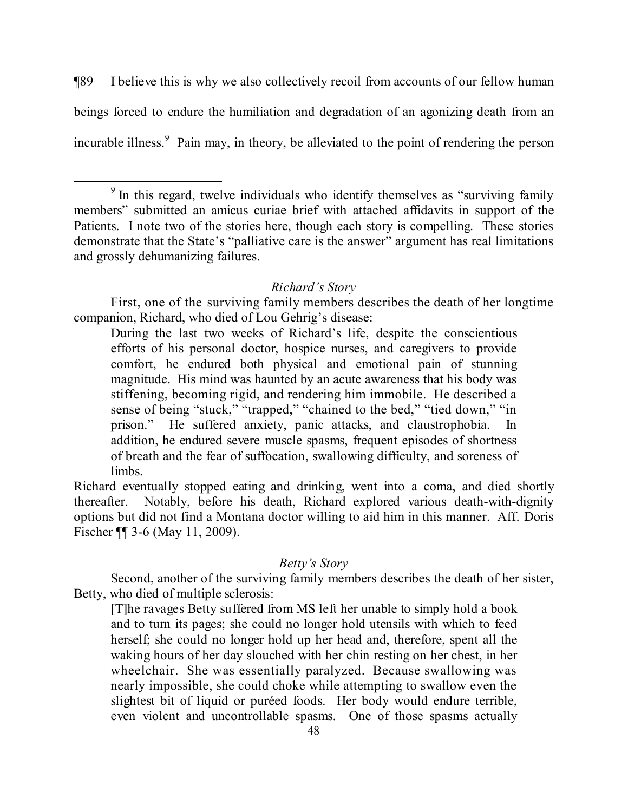¶89 I believe this is why we also collectively recoil from accounts of our fellow human beings forced to endure the humiliation and degradation of an agonizing death from an incurable illness.<sup>[9](#page-47-0)</sup> Pain may, in theory, be alleviated to the point of rendering the person

# *Richard's Story*

First, one of the surviving family members describes the death of her longtime companion, Richard, who died of Lou Gehrig's disease:

During the last two weeks of Richard's life, despite the conscientious efforts of his personal doctor, hospice nurses, and caregivers to provide comfort, he endured both physical and emotional pain of stunning magnitude. His mind was haunted by an acute awareness that his body was stiffening, becoming rigid, and rendering him immobile. He described a sense of being "stuck," "trapped," "chained to the bed," "tied down," "in prison." He suffered anxiety, panic attacks, and claustrophobia. addition, he endured severe muscle spasms, frequent episodes of shortness of breath and the fear of suffocation, swallowing difficulty, and soreness of limbs.

Richard eventually stopped eating and drinking, went into a coma, and died shortly thereafter. Notably, before his death, Richard explored various death-with-dignity options but did not find a Montana doctor willing to aid him in this manner. Aff. Doris Fischer ¶¶ 3-6 (May 11, 2009).

#### *Betty's Story*

Second, another of the surviving family members describes the death of her sister, Betty, who died of multiple sclerosis:

[T]he ravages Betty suffered from MS left her unable to simply hold a book and to turn its pages; she could no longer hold utensils with which to feed herself; she could no longer hold up her head and, therefore, spent all the waking hours of her day slouched with her chin resting on her chest, in her wheelchair. She was essentially paralyzed. Because swallowing was nearly impossible, she could choke while attempting to swallow even the slightest bit of liquid or puréed foods. Her body would endure terrible, even violent and uncontrollable spasms. One of those spasms actually

<span id="page-47-0"></span><sup>&</sup>lt;sup>9</sup> In this regard, twelve individuals who identify themselves as "surviving family members" submitted an amicus curiae brief with attached affidavits in support of the Patients. I note two of the stories here, though each story is compelling. These stories demonstrate that the State's "palliative care is the answer" argument has real limitations and grossly dehumanizing failures.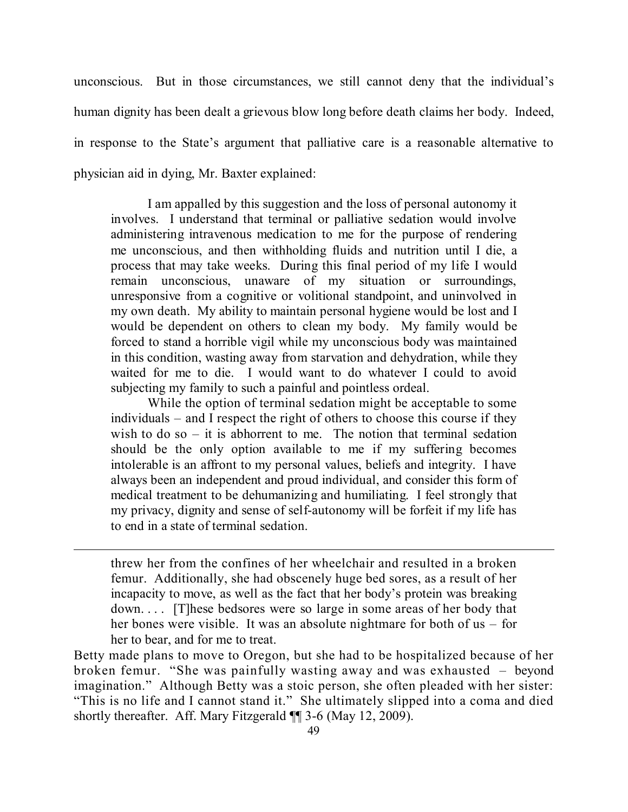unconscious. But in those circumstances, we still cannot deny that the individual's human dignity has been dealt a grievous blow long before death claims her body. Indeed, in response to the State's argument that palliative care is a reasonable alternative to physician aid in dying, Mr. Baxter explained:

I am appalled by this suggestion and the loss of personal autonomy it involves. I understand that terminal or palliative sedation would involve administering intravenous medication to me for the purpose of rendering me unconscious, and then withholding fluids and nutrition until I die, a process that may take weeks. During this final period of my life I would remain unconscious, unaware of my situation or surroundings, unresponsive from a cognitive or volitional standpoint, and uninvolved in my own death. My ability to maintain personal hygiene would be lost and I would be dependent on others to clean my body. My family would be forced to stand a horrible vigil while my unconscious body was maintained in this condition, wasting away from starvation and dehydration, while they waited for me to die. I would want to do whatever I could to avoid subjecting my family to such a painful and pointless ordeal.

While the option of terminal sedation might be acceptable to some individuals – and I respect the right of others to choose this course if they wish to do so  $-$  it is abhorrent to me. The notion that terminal sedation should be the only option available to me if my suffering becomes intolerable is an affront to my personal values, beliefs and integrity. I have always been an independent and proud individual, and consider this form of medical treatment to be dehumanizing and humiliating. I feel strongly that my privacy, dignity and sense of self-autonomy will be forfeit if my life has to end in a state of terminal sedation.

threw her from the confines of her wheelchair and resulted in a broken femur. Additionally, she had obscenely huge bed sores, as a result of her incapacity to move, as well as the fact that her body's protein was breaking down. . . . [T]hese bedsores were so large in some areas of her body that her bones were visible. It was an absolute nightmare for both of us – for her to bear, and for me to treat.

Betty made plans to move to Oregon, but she had to be hospitalized because of her broken femur. "She was painfully wasting away and was exhausted – beyond imagination." Although Betty was a stoic person, she often pleaded with her sister: "This is no life and I cannot stand it." She ultimately slipped into a coma and died shortly thereafter. Aff. Mary Fitzgerald ¶¶ 3-6 (May 12, 2009).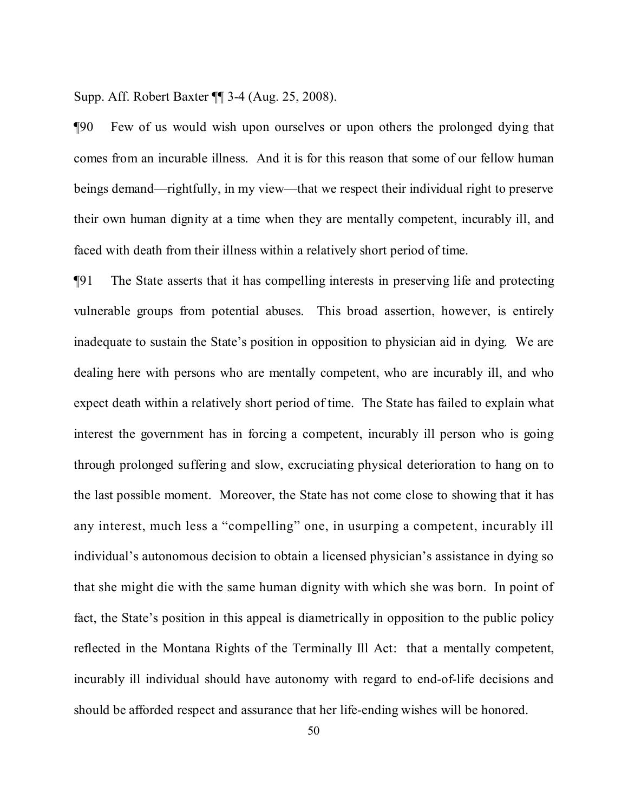Supp. Aff. Robert Baxter ¶¶ 3-4 (Aug. 25, 2008).

¶90 Few of us would wish upon ourselves or upon others the prolonged dying that comes from an incurable illness. And it is for this reason that some of our fellow human beings demand—rightfully, in my view—that we respect their individual right to preserve their own human dignity at a time when they are mentally competent, incurably ill, and faced with death from their illness within a relatively short period of time.

¶91 The State asserts that it has compelling interests in preserving life and protecting vulnerable groups from potential abuses. This broad assertion, however, is entirely inadequate to sustain the State's position in opposition to physician aid in dying. We are dealing here with persons who are mentally competent, who are incurably ill, and who expect death within a relatively short period of time. The State has failed to explain what interest the government has in forcing a competent, incurably ill person who is going through prolonged suffering and slow, excruciating physical deterioration to hang on to the last possible moment. Moreover, the State has not come close to showing that it has any interest, much less a "compelling" one, in usurping a competent, incurably ill individual's autonomous decision to obtain a licensed physician's assistance in dying so that she might die with the same human dignity with which she was born. In point of fact, the State's position in this appeal is diametrically in opposition to the public policy reflected in the Montana Rights of the Terminally Ill Act: that a mentally competent, incurably ill individual should have autonomy with regard to end-of-life decisions and should be afforded respect and assurance that her life-ending wishes will be honored.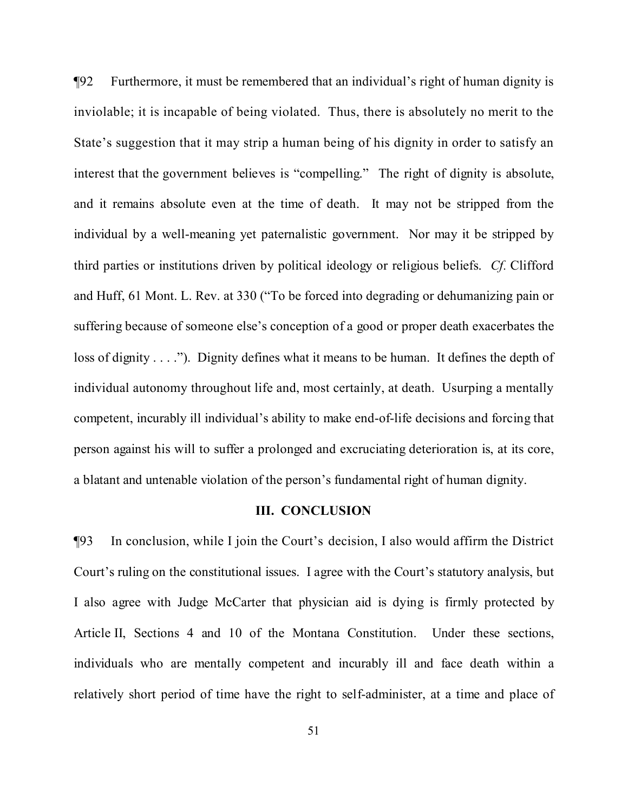¶92 Furthermore, it must be remembered that an individual's right of human dignity is inviolable; it is incapable of being violated. Thus, there is absolutely no merit to the State's suggestion that it may strip a human being of his dignity in order to satisfy an interest that the government believes is "compelling." The right of dignity is absolute, and it remains absolute even at the time of death. It may not be stripped from the individual by a well-meaning yet paternalistic government. Nor may it be stripped by third parties or institutions driven by political ideology or religious beliefs. *Cf.* Clifford and Huff, 61 Mont. L. Rev. at 330 ("To be forced into degrading or dehumanizing pain or suffering because of someone else's conception of a good or proper death exacerbates the loss of dignity . . . ."). Dignity defines what it means to be human. It defines the depth of individual autonomy throughout life and, most certainly, at death. Usurping a mentally competent, incurably ill individual's ability to make end-of-life decisions and forcing that person against his will to suffer a prolonged and excruciating deterioration is, at its core, a blatant and untenable violation of the person's fundamental right of human dignity.

## **III. CONCLUSION**

¶93 In conclusion, while I join the Court's decision, I also would affirm the District Court's ruling on the constitutional issues. I agree with the Court's statutory analysis, but I also agree with Judge McCarter that physician aid is dying is firmly protected by Article II, Sections 4 and 10 of the Montana Constitution. Under these sections, individuals who are mentally competent and incurably ill and face death within a relatively short period of time have the right to self-administer, at a time and place of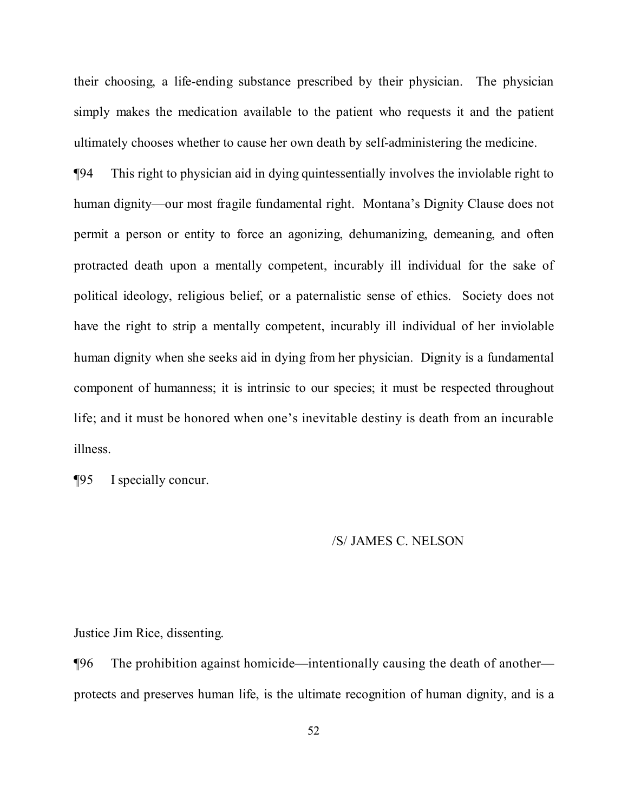their choosing, a life-ending substance prescribed by their physician. The physician simply makes the medication available to the patient who requests it and the patient ultimately chooses whether to cause her own death by self-administering the medicine.

¶94 This right to physician aid in dying quintessentially involves the inviolable right to human dignity—our most fragile fundamental right. Montana's Dignity Clause does not permit a person or entity to force an agonizing, dehumanizing, demeaning, and often protracted death upon a mentally competent, incurably ill individual for the sake of political ideology, religious belief, or a paternalistic sense of ethics. Society does not have the right to strip a mentally competent, incurably ill individual of her inviolable human dignity when she seeks aid in dying from her physician. Dignity is a fundamental component of humanness; it is intrinsic to our species; it must be respected throughout life; and it must be honored when one's inevitable destiny is death from an incurable illness.

¶95 I specially concur.

#### /S/ JAMES C. NELSON

Justice Jim Rice, dissenting.

¶96 The prohibition against homicide—intentionally causing the death of another protects and preserves human life, is the ultimate recognition of human dignity, and is a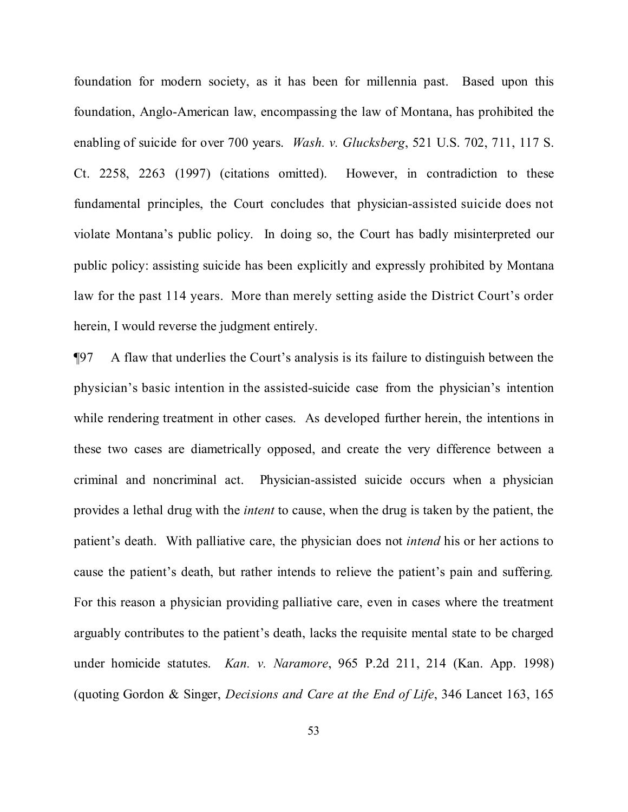foundation for modern society, as it has been for millennia past. Based upon this foundation, Anglo-American law, encompassing the law of Montana, has prohibited the enabling of suicide for over 700 years. *Wash. v. Glucksberg*, 521 U.S. 702, 711, 117 S. Ct. 2258, 2263 (1997) (citations omitted). However, in contradiction to these fundamental principles, the Court concludes that physician-assisted suicide does not violate Montana's public policy. In doing so, the Court has badly misinterpreted our public policy: assisting suicide has been explicitly and expressly prohibited by Montana law for the past 114 years. More than merely setting aside the District Court's order herein, I would reverse the judgment entirely.

¶97 A flaw that underlies the Court's analysis is its failure to distinguish between the physician's basic intention in the assisted-suicide case from the physician's intention while rendering treatment in other cases. As developed further herein, the intentions in these two cases are diametrically opposed, and create the very difference between a criminal and noncriminal act. Physician-assisted suicide occurs when a physician provides a lethal drug with the *intent* to cause, when the drug is taken by the patient, the patient's death. With palliative care, the physician does not *intend* his or her actions to cause the patient's death, but rather intends to relieve the patient's pain and suffering. For this reason a physician providing palliative care, even in cases where the treatment arguably contributes to the patient's death, lacks the requisite mental state to be charged under homicide statutes. *Kan. v. Naramore*, 965 P.2d 211, 214 (Kan. App. 1998) (quoting Gordon & Singer, *Decisions and Care at the End of Life*, 346 Lancet 163, 165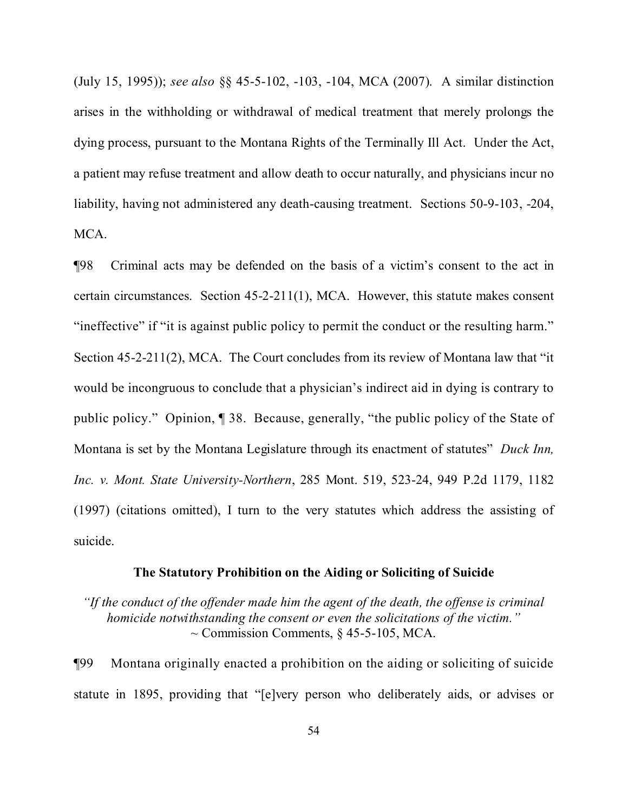(July 15, 1995)); *see also* §§ 45-5-102, -103, -104, MCA (2007). A similar distinction arises in the withholding or withdrawal of medical treatment that merely prolongs the dying process, pursuant to the Montana Rights of the Terminally Ill Act. Under the Act, a patient may refuse treatment and allow death to occur naturally, and physicians incur no liability, having not administered any death-causing treatment. Sections 50-9-103, -204, MCA.

¶98 Criminal acts may be defended on the basis of a victim's consent to the act in certain circumstances. Section 45-2-211(1), MCA. However, this statute makes consent "ineffective" if "it is against public policy to permit the conduct or the resulting harm." Section 45-2-211(2), MCA. The Court concludes from its review of Montana law that "it would be incongruous to conclude that a physician's indirect aid in dying is contrary to public policy." Opinion, ¶ 38. Because, generally, "the public policy of the State of Montana is set by the Montana Legislature through its enactment of statutes" *Duck Inn, Inc. v. Mont. State University-Northern*, 285 Mont. 519, 523-24, 949 P.2d 1179, 1182 (1997) (citations omitted), I turn to the very statutes which address the assisting of suicide.

#### **The Statutory Prohibition on the Aiding or Soliciting of Suicide**

*"If the conduct of the offender made him the agent of the death, the offense is criminal homicide notwithstanding the consent or even the solicitations of the victim."*  $\sim$  Commission Comments, § 45-5-105, MCA.

¶99 Montana originally enacted a prohibition on the aiding or soliciting of suicide statute in 1895, providing that "[e]very person who deliberately aids, or advises or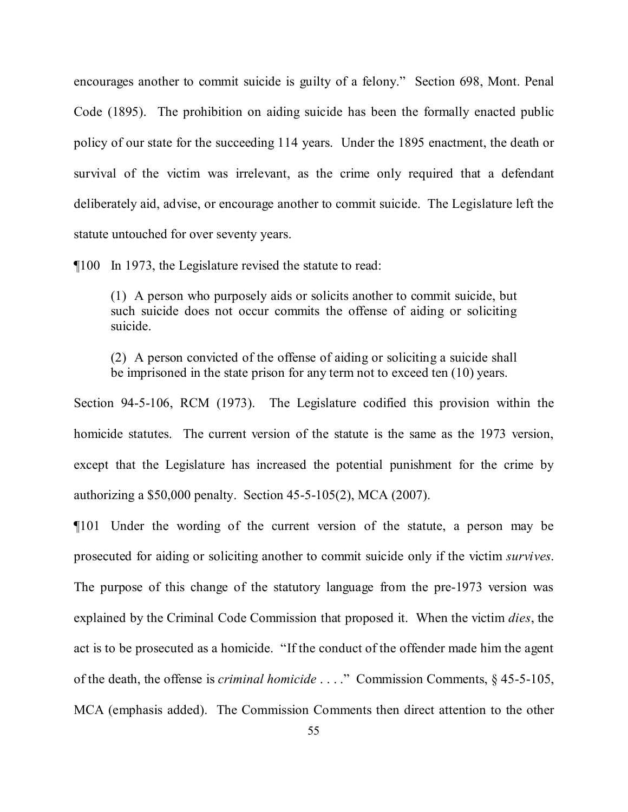encourages another to commit suicide is guilty of a felony." Section 698, Mont. Penal Code (1895). The prohibition on aiding suicide has been the formally enacted public policy of our state for the succeeding 114 years. Under the 1895 enactment, the death or survival of the victim was irrelevant, as the crime only required that a defendant deliberately aid, advise, or encourage another to commit suicide. The Legislature left the statute untouched for over seventy years.

¶100 In 1973, the Legislature revised the statute to read:

(1) A person who purposely aids or solicits another to commit suicide, but such suicide does not occur commits the offense of aiding or soliciting suicide.

(2) A person convicted of the offense of aiding or soliciting a suicide shall be imprisoned in the state prison for any term not to exceed ten (10) years.

Section 94-5-106, RCM (1973). The Legislature codified this provision within the homicide statutes. The current version of the statute is the same as the 1973 version, except that the Legislature has increased the potential punishment for the crime by authorizing a \$50,000 penalty. Section 45-5-105(2), MCA (2007).

¶101 Under the wording of the current version of the statute, a person may be prosecuted for aiding or soliciting another to commit suicide only if the victim *survives*. The purpose of this change of the statutory language from the pre-1973 version was explained by the Criminal Code Commission that proposed it. When the victim *dies*, the act is to be prosecuted as a homicide. "If the conduct of the offender made him the agent of the death, the offense is *criminal homicide* . . . ." Commission Comments, § 45-5-105, MCA (emphasis added). The Commission Comments then direct attention to the other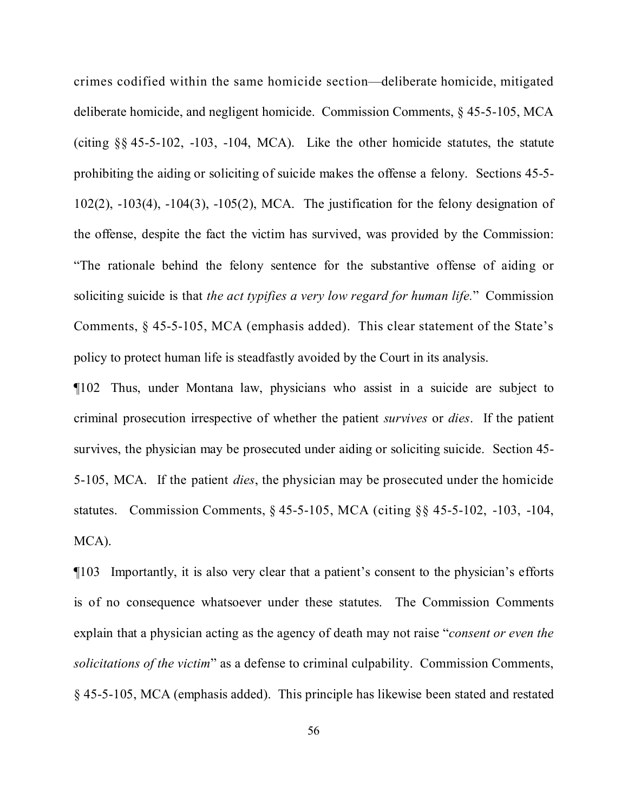crimes codified within the same homicide section—deliberate homicide, mitigated deliberate homicide, and negligent homicide. Commission Comments, § 45-5-105, MCA (citing §§ 45-5-102, -103, -104, MCA). Like the other homicide statutes, the statute prohibiting the aiding or soliciting of suicide makes the offense a felony. Sections 45-5- 102(2), -103(4), -104(3), -105(2), MCA. The justification for the felony designation of the offense, despite the fact the victim has survived, was provided by the Commission: "The rationale behind the felony sentence for the substantive offense of aiding or soliciting suicide is that *the act typifies a very low regard for human life.*" Commission Comments, § 45-5-105, MCA (emphasis added). This clear statement of the State's policy to protect human life is steadfastly avoided by the Court in its analysis.

¶102 Thus, under Montana law, physicians who assist in a suicide are subject to criminal prosecution irrespective of whether the patient *survives* or *dies*. If the patient survives, the physician may be prosecuted under aiding or soliciting suicide. Section 45- 5-105, MCA. If the patient *dies*, the physician may be prosecuted under the homicide statutes. Commission Comments, § 45-5-105, MCA (citing §§ 45-5-102, -103, -104, MCA).

¶103 Importantly, it is also very clear that a patient's consent to the physician's efforts is of no consequence whatsoever under these statutes. The Commission Comments explain that a physician acting as the agency of death may not raise "*consent or even the solicitations of the victim*" as a defense to criminal culpability. Commission Comments, § 45-5-105, MCA (emphasis added). This principle has likewise been stated and restated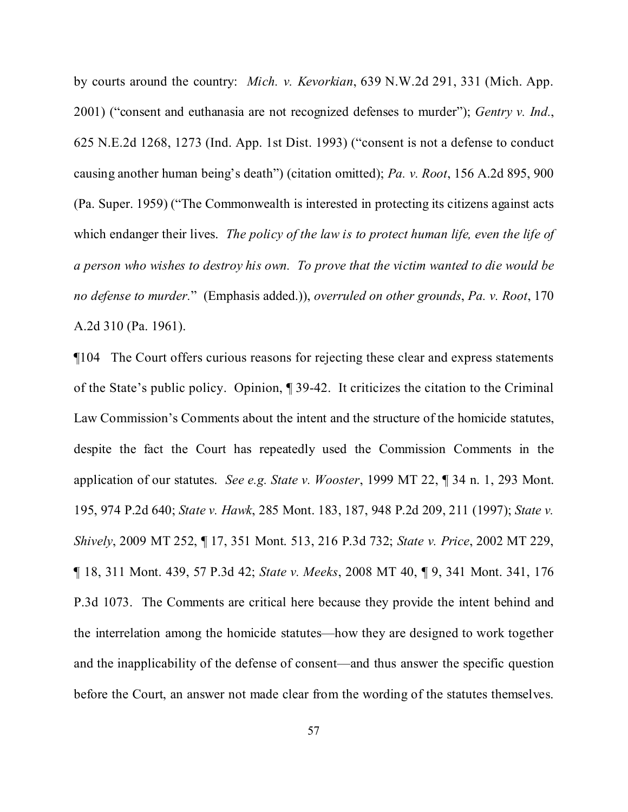by courts around the country: *Mich. v. Kevorkian*, 639 N.W.2d 291, 331 (Mich. App. 2001) ("consent and euthanasia are not recognized defenses to murder"); *Gentry v. Ind.*, 625 N.E.2d 1268, 1273 (Ind. App. 1st Dist. 1993) ("consent is not a defense to conduct causing another human being's death") (citation omitted); *Pa. v. Root*, 156 A.2d 895, 900 (Pa. Super. 1959) ("The Commonwealth is interested in protecting its citizens against acts which endanger their lives. *The policy of the law is to protect human life, even the life of a person who wishes to destroy his own. To prove that the victim wanted to die would be no defense to murder.*" (Emphasis added.)), *overruled on other grounds*, *Pa. v. Root*, 170 A.2d 310 (Pa. 1961).

¶104 The Court offers curious reasons for rejecting these clear and express statements of the State's public policy. Opinion, ¶ 39-42. It criticizes the citation to the Criminal Law Commission's Comments about the intent and the structure of the homicide statutes, despite the fact the Court has repeatedly used the Commission Comments in the application of our statutes. *See e.g. State v. Wooster*, 1999 MT 22, ¶ 34 n. 1, 293 Mont. 195, 974 P.2d 640; *State v. Hawk*, 285 Mont. 183, 187, 948 P.2d 209, 211 (1997); *State v. Shively*, 2009 MT 252, ¶ 17, 351 Mont. 513, 216 P.3d 732; *State v. Price*, 2002 MT 229, ¶ 18, 311 Mont. 439, 57 P.3d 42; *State v. Meeks*, 2008 MT 40, ¶ 9, 341 Mont. 341, 176 P.3d 1073. The Comments are critical here because they provide the intent behind and the interrelation among the homicide statutes—how they are designed to work together and the inapplicability of the defense of consent—and thus answer the specific question before the Court, an answer not made clear from the wording of the statutes themselves.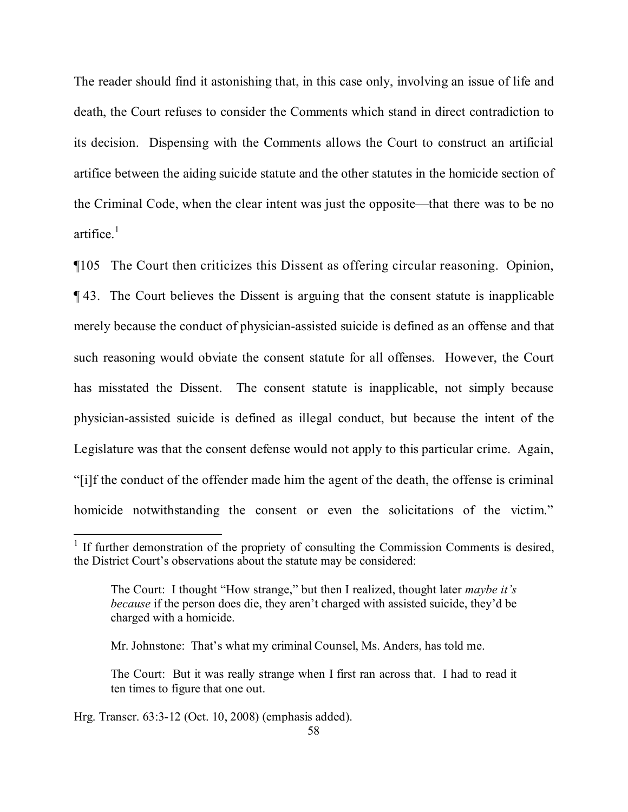The reader should find it astonishing that, in this case only, involving an issue of life and death, the Court refuses to consider the Comments which stand in direct contradiction to its decision. Dispensing with the Comments allows the Court to construct an artificial artifice between the aiding suicide statute and the other statutes in the homicide section of the Criminal Code, when the clear intent was just the opposite—that there was to be no artifice $1$ 

¶105 The Court then criticizes this Dissent as offering circular reasoning. Opinion, ¶ 43. The Court believes the Dissent is arguing that the consent statute is inapplicable merely because the conduct of physician-assisted suicide is defined as an offense and that such reasoning would obviate the consent statute for all offenses. However, the Court has misstated the Dissent. The consent statute is inapplicable, not simply because physician-assisted suicide is defined as illegal conduct, but because the intent of the Legislature was that the consent defense would not apply to this particular crime. Again, "[i]f the conduct of the offender made him the agent of the death, the offense is criminal homicide notwithstanding the consent or even the solicitations of the victim."

Mr. Johnstone: That's what my criminal Counsel, Ms. Anders, has told me.

Hrg. Transcr. 63:3-12 (Oct. 10, 2008) (emphasis added).

<span id="page-57-0"></span><sup>&</sup>lt;sup>1</sup> If further demonstration of the propriety of consulting the Commission Comments is desired, the District Court's observations about the statute may be considered:

The Court: I thought "How strange," but then I realized, thought later *maybe it's because* if the person does die, they aren't charged with assisted suicide, they'd be charged with a homicide.

The Court: But it was really strange when I first ran across that. I had to read it ten times to figure that one out.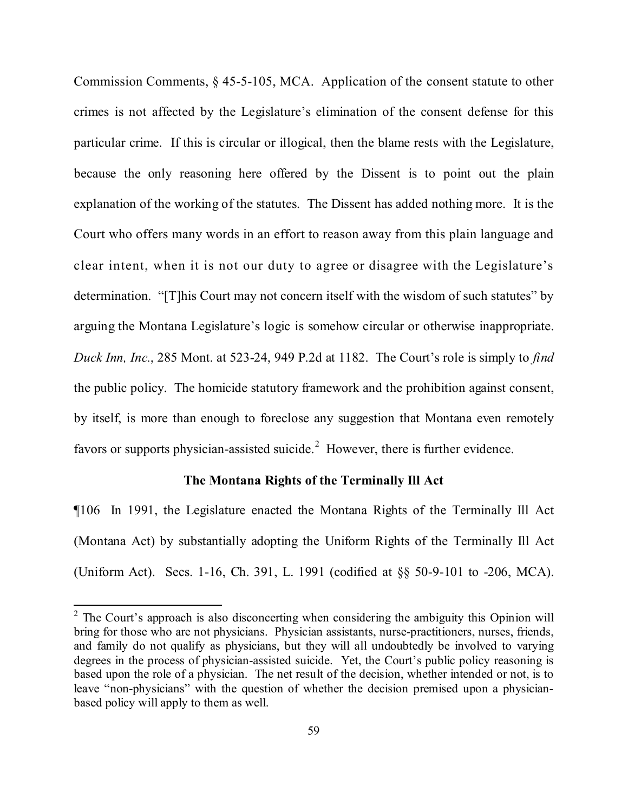Commission Comments, § 45-5-105, MCA. Application of the consent statute to other crimes is not affected by the Legislature's elimination of the consent defense for this particular crime. If this is circular or illogical, then the blame rests with the Legislature, because the only reasoning here offered by the Dissent is to point out the plain explanation of the working of the statutes. The Dissent has added nothing more. It is the Court who offers many words in an effort to reason away from this plain language and clear intent, when it is not our duty to agree or disagree with the Legislature's determination. "[T]his Court may not concern itself with the wisdom of such statutes" by arguing the Montana Legislature's logic is somehow circular or otherwise inappropriate. *Duck Inn, Inc.*, 285 Mont. at 523-24, 949 P.2d at 1182. The Court's role is simply to *find* the public policy. The homicide statutory framework and the prohibition against consent, by itself, is more than enough to foreclose any suggestion that Montana even remotely favors or supports physician-assisted suicide.<sup>[2](#page-58-0)</sup> However, there is further evidence.

# **The Montana Rights of the Terminally Ill Act**

¶106 In 1991, the Legislature enacted the Montana Rights of the Terminally Ill Act (Montana Act) by substantially adopting the Uniform Rights of the Terminally Ill Act (Uniform Act). Secs. 1-16, Ch. 391, L. 1991 (codified at §§ 50-9-101 to -206, MCA).

<span id="page-58-0"></span> $2$  The Court's approach is also disconcerting when considering the ambiguity this Opinion will bring for those who are not physicians. Physician assistants, nurse-practitioners, nurses, friends, and family do not qualify as physicians, but they will all undoubtedly be involved to varying degrees in the process of physician-assisted suicide. Yet, the Court's public policy reasoning is based upon the role of a physician. The net result of the decision, whether intended or not, is to leave "non-physicians" with the question of whether the decision premised upon a physicianbased policy will apply to them as well.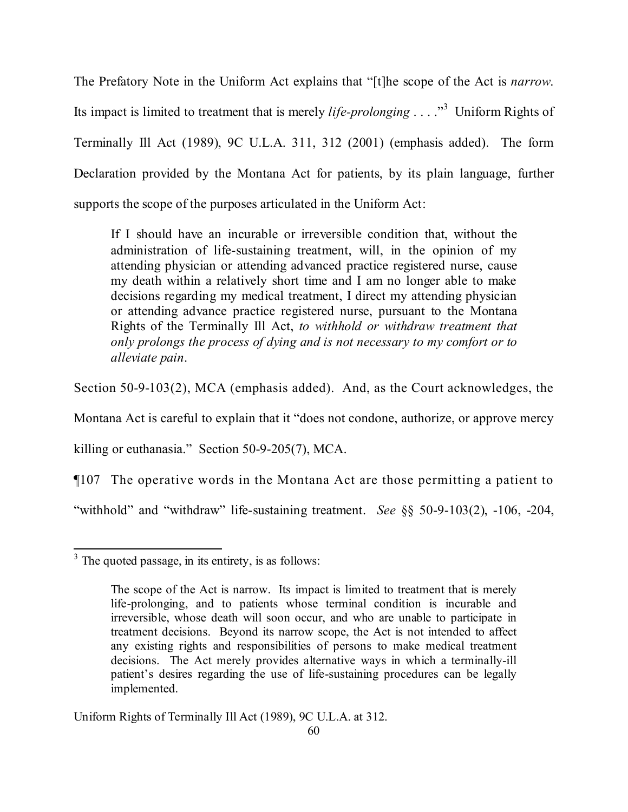The Prefatory Note in the Uniform Act explains that "[t]he scope of the Act is *narrow*. Its impact is limited to treatment that is merely *life-prolonging* . . . ."[3](#page-59-0) Uniform Rights of Terminally Ill Act (1989), 9C U.L.A. 311, 312 (2001) (emphasis added). The form Declaration provided by the Montana Act for patients, by its plain language, further supports the scope of the purposes articulated in the Uniform Act:

If I should have an incurable or irreversible condition that, without the administration of life-sustaining treatment, will, in the opinion of my attending physician or attending advanced practice registered nurse, cause my death within a relatively short time and I am no longer able to make decisions regarding my medical treatment, I direct my attending physician or attending advance practice registered nurse, pursuant to the Montana Rights of the Terminally Ill Act, *to withhold or withdraw treatment that only prolongs the process of dying and is not necessary to my comfort or to alleviate pain*.

Section 50-9-103(2), MCA (emphasis added). And, as the Court acknowledges, the

Montana Act is careful to explain that it "does not condone, authorize, or approve mercy

killing or euthanasia." Section 50-9-205(7), MCA.

¶107 The operative words in the Montana Act are those permitting a patient to

"withhold" and "withdraw" life-sustaining treatment. *See* §§ 50-9-103(2), -106, -204,

<span id="page-59-0"></span><sup>&</sup>lt;sup>3</sup> The quoted passage, in its entirety, is as follows:

The scope of the Act is narrow. Its impact is limited to treatment that is merely life-prolonging, and to patients whose terminal condition is incurable and irreversible, whose death will soon occur, and who are unable to participate in treatment decisions. Beyond its narrow scope, the Act is not intended to affect any existing rights and responsibilities of persons to make medical treatment decisions. The Act merely provides alternative ways in which a terminally-ill patient's desires regarding the use of life-sustaining procedures can be legally implemented.

Uniform Rights of Terminally Ill Act (1989), 9C U.L.A. at 312.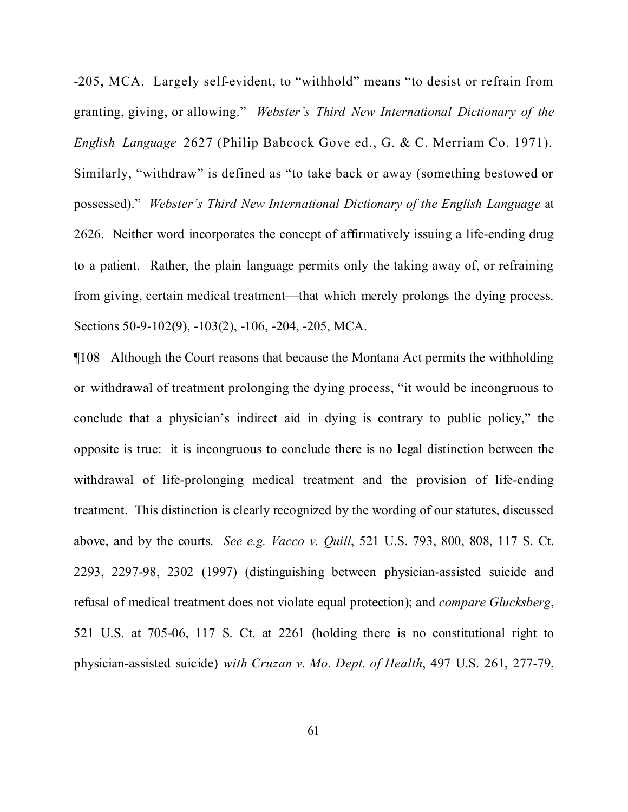-205, MCA. Largely self-evident, to "withhold" means "to desist or refrain from granting, giving, or allowing." *Webster's Third New International Dictionary of the English Language* 2627 (Philip Babcock Gove ed., G. & C. Merriam Co. 1971). Similarly, "withdraw" is defined as "to take back or away (something bestowed or possessed)." *Webster's Third New International Dictionary of the English Language* at 2626. Neither word incorporates the concept of affirmatively issuing a life-ending drug to a patient. Rather, the plain language permits only the taking away of, or refraining from giving, certain medical treatment—that which merely prolongs the dying process. Sections 50-9-102(9), -103(2), -106, -204, -205, MCA.

¶108 Although the Court reasons that because the Montana Act permits the withholding or withdrawal of treatment prolonging the dying process, "it would be incongruous to conclude that a physician's indirect aid in dying is contrary to public policy," the opposite is true: it is incongruous to conclude there is no legal distinction between the withdrawal of life-prolonging medical treatment and the provision of life-ending treatment. This distinction is clearly recognized by the wording of our statutes, discussed above, and by the courts. *See e.g. Vacco v. Quill*, 521 U.S. 793, 800, 808, 117 S. Ct. 2293, 2297-98, 2302 (1997) (distinguishing between physician-assisted suicide and refusal of medical treatment does not violate equal protection); and *compare Glucksberg*, 521 U.S. at 705-06, 117 S. Ct. at 2261 (holding there is no constitutional right to physician-assisted suicide) *with Cruzan v. Mo. Dept. of Health*, 497 U.S. 261, 277-79,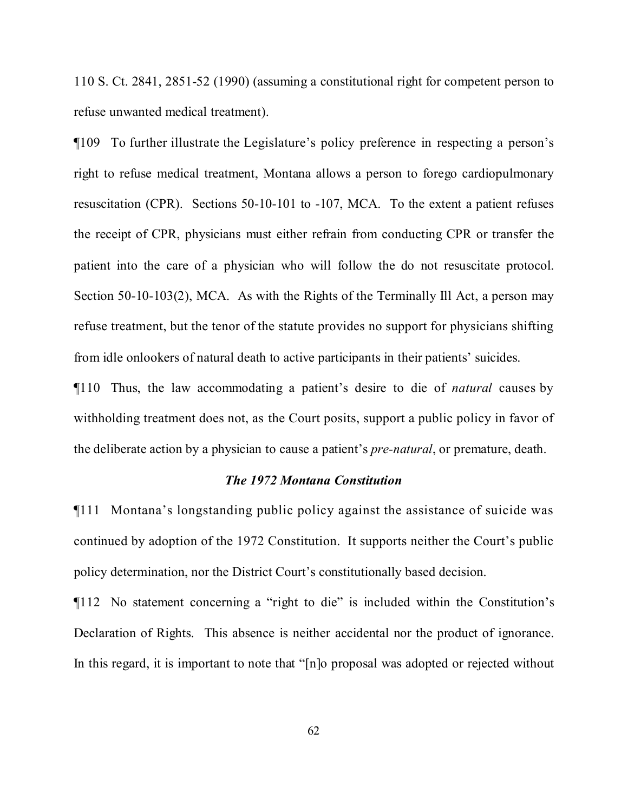110 S. Ct. 2841, 2851-52 (1990) (assuming a constitutional right for competent person to refuse unwanted medical treatment).

¶109 To further illustrate the Legislature's policy preference in respecting a person's right to refuse medical treatment, Montana allows a person to forego cardiopulmonary resuscitation (CPR). Sections 50-10-101 to -107, MCA. To the extent a patient refuses the receipt of CPR, physicians must either refrain from conducting CPR or transfer the patient into the care of a physician who will follow the do not resuscitate protocol. Section 50-10-103(2), MCA. As with the Rights of the Terminally Ill Act, a person may refuse treatment, but the tenor of the statute provides no support for physicians shifting from idle onlookers of natural death to active participants in their patients' suicides.

¶110 Thus, the law accommodating a patient's desire to die of *natural* causes by withholding treatment does not, as the Court posits, support a public policy in favor of the deliberate action by a physician to cause a patient's *pre-natural*, or premature, death.

# *The 1972 Montana Constitution*

¶111 Montana's longstanding public policy against the assistance of suicide was continued by adoption of the 1972 Constitution. It supports neither the Court's public policy determination, nor the District Court's constitutionally based decision.

¶112 No statement concerning a "right to die" is included within the Constitution's Declaration of Rights. This absence is neither accidental nor the product of ignorance. In this regard, it is important to note that "[n]o proposal was adopted or rejected without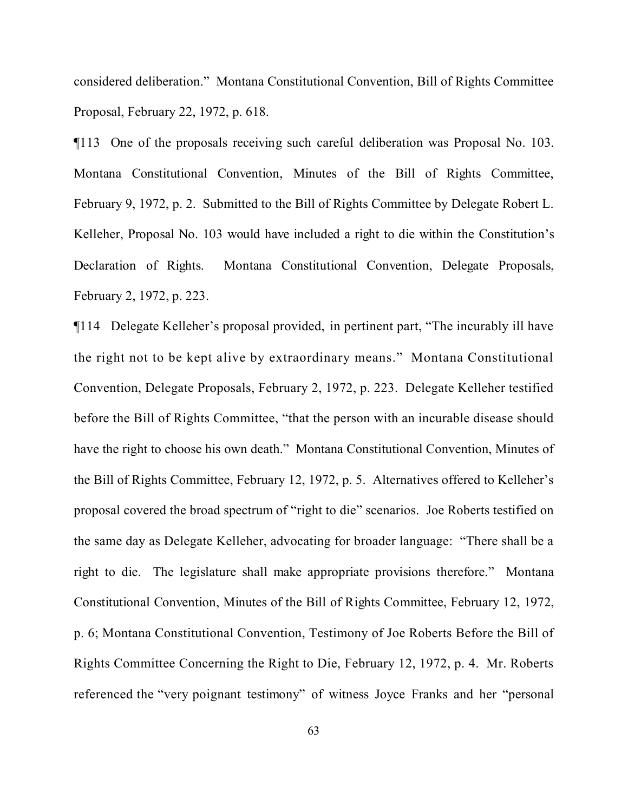considered deliberation." Montana Constitutional Convention, Bill of Rights Committee Proposal, February 22, 1972, p. 618.

¶113 One of the proposals receiving such careful deliberation was Proposal No. 103. Montana Constitutional Convention, Minutes of the Bill of Rights Committee, February 9, 1972, p. 2. Submitted to the Bill of Rights Committee by Delegate Robert L. Kelleher, Proposal No. 103 would have included a right to die within the Constitution's Declaration of Rights. Montana Constitutional Convention, Delegate Proposals, February 2, 1972, p. 223.

¶114 Delegate Kelleher's proposal provided, in pertinent part, "The incurably ill have the right not to be kept alive by extraordinary means." Montana Constitutional Convention, Delegate Proposals, February 2, 1972, p. 223. Delegate Kelleher testified before the Bill of Rights Committee, "that the person with an incurable disease should have the right to choose his own death." Montana Constitutional Convention, Minutes of the Bill of Rights Committee, February 12, 1972, p. 5. Alternatives offered to Kelleher's proposal covered the broad spectrum of "right to die" scenarios. Joe Roberts testified on the same day as Delegate Kelleher, advocating for broader language: "There shall be a right to die. The legislature shall make appropriate provisions therefore." Montana Constitutional Convention, Minutes of the Bill of Rights Committee, February 12, 1972, p. 6; Montana Constitutional Convention, Testimony of Joe Roberts Before the Bill of Rights Committee Concerning the Right to Die, February 12, 1972, p. 4. Mr. Roberts referenced the "very poignant testimony" of witness Joyce Franks and her "personal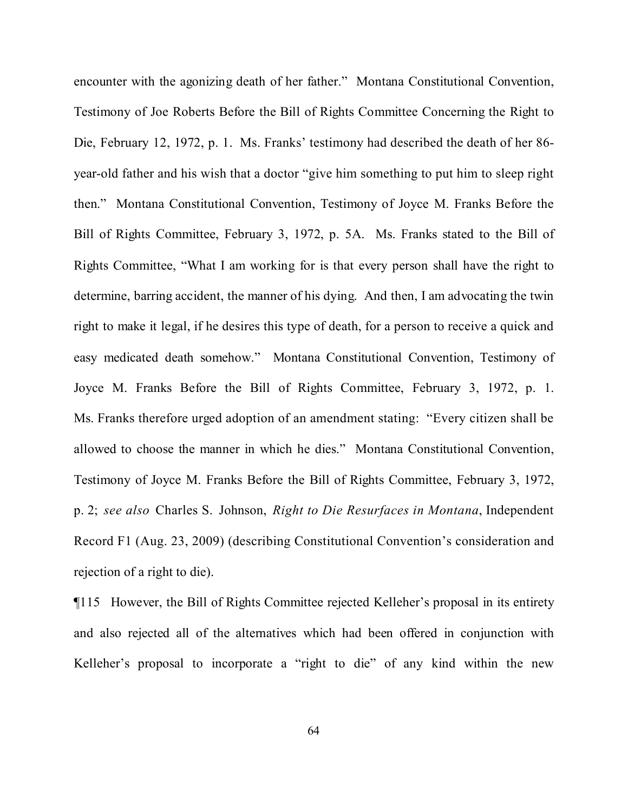encounter with the agonizing death of her father." Montana Constitutional Convention, Testimony of Joe Roberts Before the Bill of Rights Committee Concerning the Right to Die, February 12, 1972, p. 1. Ms. Franks' testimony had described the death of her 86 year-old father and his wish that a doctor "give him something to put him to sleep right then." Montana Constitutional Convention, Testimony of Joyce M. Franks Before the Bill of Rights Committee, February 3, 1972, p. 5A. Ms. Franks stated to the Bill of Rights Committee, "What I am working for is that every person shall have the right to determine, barring accident, the manner of his dying. And then, I am advocating the twin right to make it legal, if he desires this type of death, for a person to receive a quick and easy medicated death somehow." Montana Constitutional Convention, Testimony of Joyce M. Franks Before the Bill of Rights Committee, February 3, 1972, p. 1. Ms. Franks therefore urged adoption of an amendment stating: "Every citizen shall be allowed to choose the manner in which he dies." Montana Constitutional Convention, Testimony of Joyce M. Franks Before the Bill of Rights Committee, February 3, 1972, p. 2; *see also* Charles S. Johnson, *Right to Die Resurfaces in Montana*, Independent Record F1 (Aug. 23, 2009) (describing Constitutional Convention's consideration and rejection of a right to die).

¶115 However, the Bill of Rights Committee rejected Kelleher's proposal in its entirety and also rejected all of the alternatives which had been offered in conjunction with Kelleher's proposal to incorporate a "right to die" of any kind within the new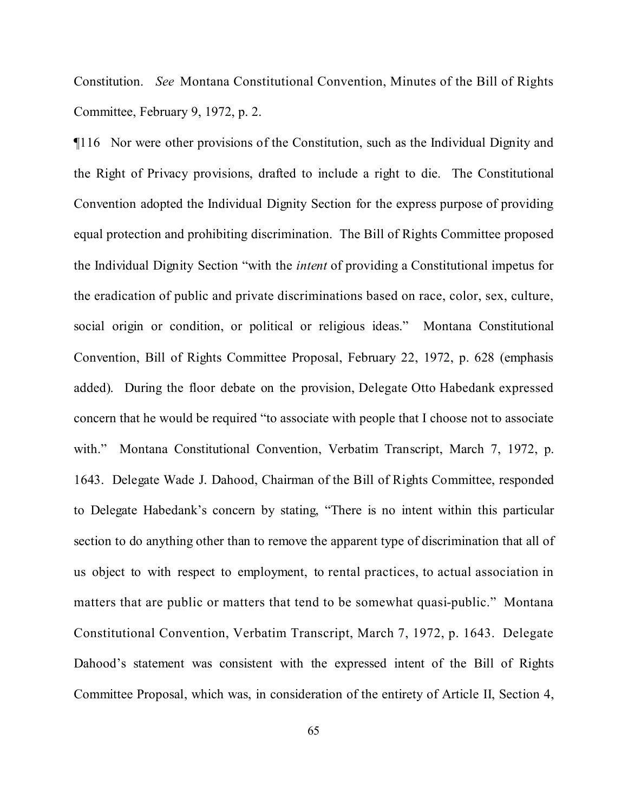Constitution. *See* Montana Constitutional Convention, Minutes of the Bill of Rights Committee, February 9, 1972, p. 2.

¶116 Nor were other provisions of the Constitution, such as the Individual Dignity and the Right of Privacy provisions, drafted to include a right to die. The Constitutional Convention adopted the Individual Dignity Section for the express purpose of providing equal protection and prohibiting discrimination. The Bill of Rights Committee proposed the Individual Dignity Section "with the *intent* of providing a Constitutional impetus for the eradication of public and private discriminations based on race, color, sex, culture, social origin or condition, or political or religious ideas." Montana Constitutional Convention, Bill of Rights Committee Proposal, February 22, 1972, p. 628 (emphasis added). During the floor debate on the provision, Delegate Otto Habedank expressed concern that he would be required "to associate with people that I choose not to associate with." Montana Constitutional Convention, Verbatim Transcript, March 7, 1972, p. 1643. Delegate Wade J. Dahood, Chairman of the Bill of Rights Committee, responded to Delegate Habedank's concern by stating, "There is no intent within this particular section to do anything other than to remove the apparent type of discrimination that all of us object to with respect to employment, to rental practices, to actual association in matters that are public or matters that tend to be somewhat quasi-public." Montana Constitutional Convention, Verbatim Transcript, March 7, 1972, p. 1643. Delegate Dahood's statement was consistent with the expressed intent of the Bill of Rights Committee Proposal, which was, in consideration of the entirety of Article II, Section 4,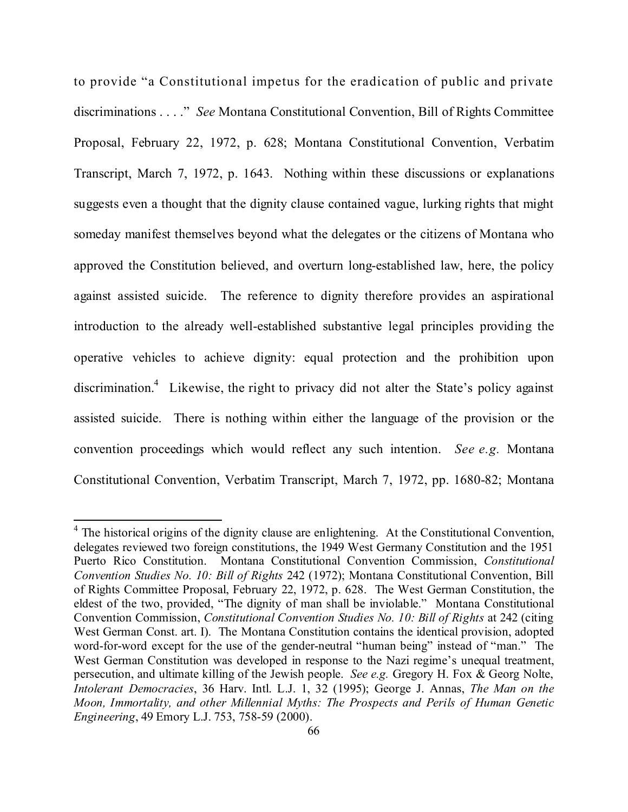to provide "a Constitutional impetus for the eradication of public and private discriminations . . . ." *See* Montana Constitutional Convention, Bill of Rights Committee Proposal, February 22, 1972, p. 628; Montana Constitutional Convention, Verbatim Transcript, March 7, 1972, p. 1643. Nothing within these discussions or explanations suggests even a thought that the dignity clause contained vague, lurking rights that might someday manifest themselves beyond what the delegates or the citizens of Montana who approved the Constitution believed, and overturn long-established law, here, the policy against assisted suicide. The reference to dignity therefore provides an aspirational introduction to the already well-established substantive legal principles providing the operative vehicles to achieve dignity: equal protection and the prohibition upon discrimination.<sup>[4](#page-65-0)</sup> Likewise, the right to privacy did not alter the State's policy against assisted suicide. There is nothing within either the language of the provision or the convention proceedings which would reflect any such intention. *See e.g.* Montana Constitutional Convention, Verbatim Transcript, March 7, 1972, pp. 1680-82; Montana

<span id="page-65-0"></span> $4$  The historical origins of the dignity clause are enlightening. At the Constitutional Convention, delegates reviewed two foreign constitutions, the 1949 West Germany Constitution and the 1951 Puerto Rico Constitution. Montana Constitutional Convention Commission, *Constitutional Convention Studies No. 10: Bill of Rights* 242 (1972); Montana Constitutional Convention, Bill of Rights Committee Proposal, February 22, 1972, p. 628. The West German Constitution, the eldest of the two, provided, "The dignity of man shall be inviolable." Montana Constitutional Convention Commission, *Constitutional Convention Studies No. 10: Bill of Rights* at 242 (citing West German Const. art. I). The Montana Constitution contains the identical provision, adopted word-for-word except for the use of the gender-neutral "human being" instead of "man." The West German Constitution was developed in response to the Nazi regime's unequal treatment, persecution, and ultimate killing of the Jewish people. *See e.g.* Gregory H. Fox & Georg Nolte, *Intolerant Democracies*, 36 Harv. Intl. L.J. 1, 32 (1995); George J. Annas, *The Man on the Moon, Immortality, and other Millennial Myths: The Prospects and Perils of Human Genetic Engineering*, 49 Emory L.J. 753, 758-59 (2000).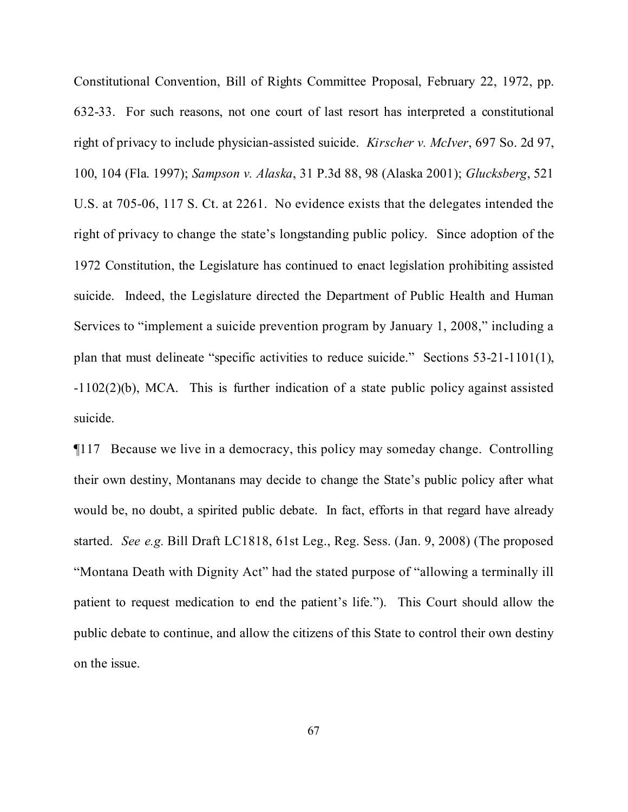Constitutional Convention, Bill of Rights Committee Proposal, February 22, 1972, pp. 632-33. For such reasons, not one court of last resort has interpreted a constitutional right of privacy to include physician-assisted suicide. *Kirscher v. McIver*, 697 So. 2d 97, 100, 104 (Fla. 1997); *Sampson v. Alaska*, 31 P.3d 88, 98 (Alaska 2001); *Glucksberg*, 521 U.S. at 705-06, 117 S. Ct. at 2261. No evidence exists that the delegates intended the right of privacy to change the state's longstanding public policy. Since adoption of the 1972 Constitution, the Legislature has continued to enact legislation prohibiting assisted suicide. Indeed, the Legislature directed the Department of Public Health and Human Services to "implement a suicide prevention program by January 1, 2008," including a plan that must delineate "specific activities to reduce suicide." Sections 53-21-1101(1), -1102(2)(b), MCA. This is further indication of a state public policy against assisted suicide.

¶117 Because we live in a democracy, this policy may someday change. Controlling their own destiny, Montanans may decide to change the State's public policy after what would be, no doubt, a spirited public debate. In fact, efforts in that regard have already started. *See e.g.* Bill Draft LC1818, 61st Leg., Reg. Sess. (Jan. 9, 2008) (The proposed "Montana Death with Dignity Act" had the stated purpose of "allowing a terminally ill patient to request medication to end the patient's life."). This Court should allow the public debate to continue, and allow the citizens of this State to control their own destiny on the issue.